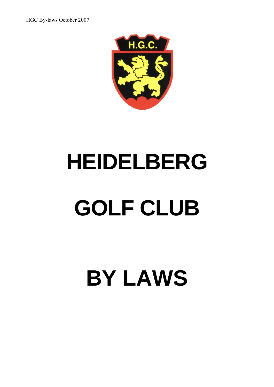

# **HEIDELBERG GOLF CLUB**

# **BY LAWS**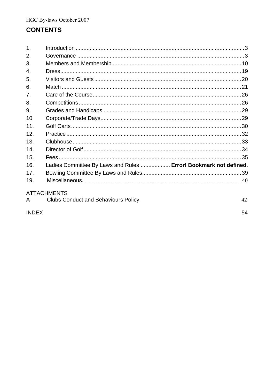# **CONTENTS**

| 1.               |                                                                  |    |
|------------------|------------------------------------------------------------------|----|
| 2.               |                                                                  |    |
| 3.               |                                                                  |    |
| $\overline{4}$ . |                                                                  |    |
| 5.               |                                                                  |    |
| 6.               |                                                                  |    |
| 7 <sub>1</sub>   |                                                                  |    |
| 8.               |                                                                  |    |
| 9.               |                                                                  |    |
| 10               |                                                                  |    |
| 11.              |                                                                  |    |
| 12.              |                                                                  |    |
| 13.              |                                                                  |    |
| 14.              |                                                                  |    |
| 15.              |                                                                  |    |
| 16.              | Ladies Committee By Laws and Rules  Error! Bookmark not defined. |    |
| 17.              |                                                                  |    |
| 19.              |                                                                  |    |
|                  | <b>ATTACHMENTS</b>                                               |    |
| $\mathsf{A}$     | <b>Clubs Conduct and Behaviours Policy</b>                       | 42 |

# **INDEX**

54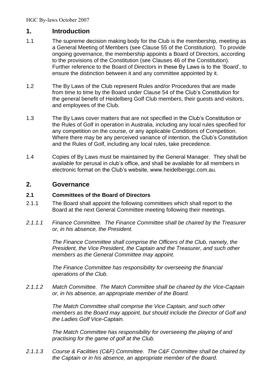# **1. Introduction**

- 1.1 The supreme decision making body for the Club is the membership, meeting as a General Meeting of Members (see Clause 55 of the Constitution). To provide ongoing governance, the membership appoints a Board of Directors, according to the provisions of the Constitution (see Clauses 46 of the Constitution). Further reference to the Board of Directors in these By Laws is to the 'Board', to ensure the distinction between it and any committee appointed by it.
- 1.2 The By Laws of the Club represent Rules and/or Procedures that are made from time to time by the Board under Clause 54 of the Club's Constitution for the general benefit of Heidelberg Golf Club members, their guests and visitors, and employees of the Club.
- 1.3 The By Laws cover matters that are not specified in the Club's Constitution or the Rules of Golf in operation in Australia, including any local rules specified for any competition on the course, or any applicable Conditions of Competition. Where there may be any perceived variance of intention, the Club's Constitution and the Rules of Golf, including any local rules, take precedence.
- 1.4 Copies of By Laws must be maintained by the General Manager. They shall be available for perusal in club's office, and shall be available for all members in electronic format on the Club's website, www.heidelberggc.com.au.

# **2. Governance**

# **2.1 Committees of the Board of Directors**

- 2.1.1 The Board shall appoint the following committees which shall report to the Board at the next General Committee meeting following their meetings.
- *2.1.1.1 Finance Committee. The Finance Committee shall be chaired by the Treasurer or, in his absence, the President.*

*The Finance Committee shall comprise the Officers of the Club, namely, the President, the Vice President, the Captain and the Treasurer, and such other members as the General Committee may appoint.*

*The Finance Committee has responsibility for overseeing the financial operations of the Club.*

*2.1.1.2 Match Committee. The Match Committee shall be chaired by the Vice-Captain or, in his absence, an appropriate member of the Board.*

> *The Match Committee shall comprise the Vice Captain, and such other members as the Board may appoint, but should include the Director of Golf and the Ladies Golf Vice-Captain.*

*The Match Committee has responsibility for overseeing the playing of and practising for the game of golf at the Club.*

*2.1.1.3 Course & Facilities (C&F) Committee. The C&F Committee shall be chaired by the Captain or in his absence, an appropriate member of the Board.*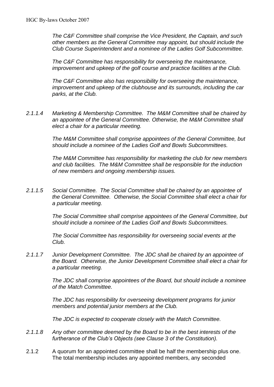*The C&F Committee shall comprise the Vice President, the Captain, and such other members as the General Committee may appoint, but should include the Club Course Superintendent and a nominee of the Ladies Golf Subcommittee.*

*The C&F Committee has responsibility for overseeing the maintenance, improvement and upkeep of the golf course and practice facilities at the Club.*

*The C&F Committee also has responsibility for overseeing the maintenance, improvement and upkeep of the clubhouse and its surrounds, including the car parks, at the Club.*

*2.1.1.4 Marketing & Membership Committee. The M&M Committee shall be chaired by an appointee of the General Committee. Otherwise, the M&M Committee shall elect a chair for a particular meeting.*

> *The M&M Committee shall comprise appointees of the General Committee, but should include a nominee of the Ladies Golf and Bowls Subcommittees.*

> *The M&M Committee has responsibility for marketing the club for new members and club facilities. The M&M Committee shall be responsible for the induction of new members and ongoing membership issues.*

*2.1.1.5 Social Committee. The Social Committee shall be chaired by an appointee of the General Committee. Otherwise, the Social Committee shall elect a chair for a particular meeting.*

> *The Social Committee shall comprise appointees of the General Committee, but should include a nominee of the Ladies Golf and Bowls Subcommittees.*

*The Social Committee has responsibility for overseeing social events at the Club.*

*2.1.1.7 Junior Development Committee. The JDC shall be chaired by an appointee of the Board. Otherwise, the Junior Development Committee shall elect a chair for a particular meeting.*

> *The JDC shall comprise appointees of the Board, but should include a nominee of the Match Committee.*

*The JDC has responsibility for overseeing development programs for junior members and potential junior members at the Club.*

*The JDC is expected to cooperate closely with the Match Committee.*

- *2.1.1.8 Any other committee deemed by the Board to be in the best interests of the furtherance of the Club's Objects (see Clause 3 of the Constitution).*
- 2.1.2 A quorum for an appointed committee shall be half the membership plus one. The total membership includes any appointed members, any seconded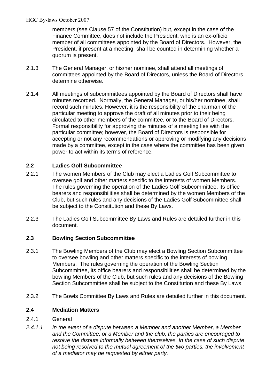members (see Clause 57 of the Constitution) but, except in the case of the Finance Committee, does not include the President, who is an ex-officio member of all committees appointed by the Board of Directors. However, the President, if present at a meeting, shall be counted in determining whether a quorum is present.

- 2.1.3 The General Manager, or his/her nominee, shall attend all meetings of committees appointed by the Board of Directors, unless the Board of Directors determine otherwise.
- 2.1.4 All meetings of subcommittees appointed by the Board of Directors shall have minutes recorded. Normally, the General Manager, or his/her nominee, shall record such minutes. However, it is the responsibility of the chairman of the particular meeting to approve the draft of all minutes prior to their being circulated to other members of the committee, or to the Board of Directors. Formal responsibility for approving the minutes of a meeting lies with the particular committee; however, the Board of Directors is responsible for accepting or not any recommendations or approving or modifying any decisions made by a committee, except in the case where the committee has been given power to act within its terms of reference.

# **2.2 Ladies Golf Subcommittee**

- 2.2.1 The women Members of the Club may elect a Ladies Golf Subcommittee to oversee golf and other matters specific to the interests of women Members. The rules governing the operation of the Ladies Golf Subcommittee, its office bearers and responsibilities shall be determined by the women Members of the Club, but such rules and any decisions of the Ladies Golf Subcommittee shall be subject to the Constitution and these By Laws.
- 2.2.3 The Ladies Golf Subcommittee By Laws and Rules are detailed further in this document.

# **2.3 Bowling Section Subcommittee**

- 2.3.1 The Bowling Members of the Club may elect a Bowling Section Subcommittee to oversee bowling and other matters specific to the interests of bowling Members. The rules governing the operation of the Bowling Section Subcommittee, its office bearers and responsibilities shall be determined by the bowling Members of the Club, but such rules and any decisions of the Bowling Section Subcommittee shall be subject to the Constitution and these By Laws.
- 2.3.2 The Bowls Committee By Laws and Rules are detailed further in this document.

# **2.4 Mediation Matters**

- 2.4.1 General
- *2.4.1.1 In the event of a dispute between a Member and another Member, a Member and the Committee, or a Member and the club, the parties are encouraged to resolve the dispute informally between themselves. In the case of such dispute not being resolved to the mutual agreement of the two parties, the involvement of a mediator may be requested by either party.*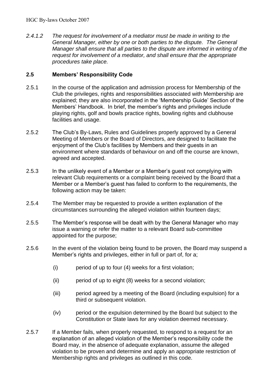*2.4.1.2 The request for involvement of a mediator must be made in writing to the General Manager, either by one or both parties to the dispute. The General Manager shall ensure that all parties to the dispute are informed in writing of the request for involvement of a mediator, and shall ensure that the appropriate procedures take place.*

# **2.5 Members' Responsibility Code**

- 2.5.1 In the course of the application and admission process for Membership of the Club the privileges, rights and responsibilities associated with Membership are explained; they are also incorporated in the 'Membership Guide' Section of the Members' Handbook. In brief, the member's rights and privileges include playing rights, golf and bowls practice rights, bowling rights and clubhouse facilities and usage.
- 2.5.2 The Club's By-Laws, Rules and Guidelines properly approved by a General Meeting of Members or the Board of Directors, are designed to facilitate the enjoyment of the Club's facilities by Members and their guests in an environment where standards of behaviour on and off the course are known, agreed and accepted.
- 2.5.3 In the unlikely event of a Member or a Member's guest not complying with relevant Club requirements or a complaint being received by the Board that a Member or a Member's guest has failed to conform to the requirements, the following action may be taken:
- 2.5.4 The Member may be requested to provide a written explanation of the circumstances surrounding the alleged violation within fourteen days;
- 2.5.5 The Member's response will be dealt with by the General Manager who may issue a warning or refer the matter to a relevant Board sub-committee appointed for the purpose;
- 2.5.6 In the event of the violation being found to be proven, the Board may suspend a Member's rights and privileges, either in full or part of, for a;
	- (i) period of up to four (4) weeks for a first violation;
	- (ii) period of up to eight (8) weeks for a second violation;
	- (iii) period agreed by a meeting of the Board (including expulsion) for a third or subsequent violation.
	- (iv) period or the expulsion determined by the Board but subject to the Constitution or State laws for any violation deemed necessary.
- 2.5.7 If a Member fails, when properly requested, to respond to a request for an explanation of an alleged violation of the Member's responsibility code the Board may, in the absence of adequate explanation, assume the alleged violation to be proven and determine and apply an appropriate restriction of Membership rights and privileges as outlined in this code.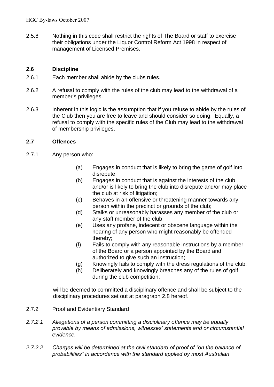2.5.8 Nothing in this code shall restrict the rights of The Board or staff to exercise their obligations under the Liquor Control Reform Act 1998 in respect of management of Licensed Premises.

# **2.6 Discipline**

- 2.6.1 Each member shall abide by the clubs rules.
- 2.6.2 A refusal to comply with the rules of the club may lead to the withdrawal of a member's privileges.
- 2.6.3 Inherent in this logic is the assumption that if you refuse to abide by the rules of the Club then you are free to leave and should consider so doing. Equally, a refusal to comply with the specific rules of the Club may lead to the withdrawal of membership privileges.

# **2.7 Offences**

- 2.7.1 Any person who:
	- (a) Engages in conduct that is likely to bring the game of golf into disrepute;
	- (b) Engages in conduct that is against the interests of the club and/or is likely to bring the club into disrepute and/or may place the club at risk of litigation;
	- (c) Behaves in an offensive or threatening manner towards any person within the precinct or grounds of the club;
	- (d) Stalks or unreasonably harasses any member of the club or any staff member of the club;
	- (e) Uses any profane, indecent or obscene language within the hearing of any person who might reasonably be offended thereby;
	- (f) Fails to comply with any reasonable instructions by a member of the Board or a person appointed by the Board and authorized to give such an instruction;
	- (g) Knowingly fails to comply with the dress regulations of the club;
	- (h) Deliberately and knowingly breaches any of the rules of golf during the club competition;

will be deemed to committed a disciplinary offence and shall be subject to the disciplinary procedures set out at paragraph 2.8 hereof.

- 2.7.2 Proof and Evidentiary Standard
- *2.7.2.1 Allegations of a person committing a disciplinary offence may be equally provable by means of admissions, witnesses' statements and or circumstantial evidence.*
- *2.7.2.2 Charges will be determined at the civil standard of proof of "on the balance of probabilities" in accordance with the standard applied by most Australian*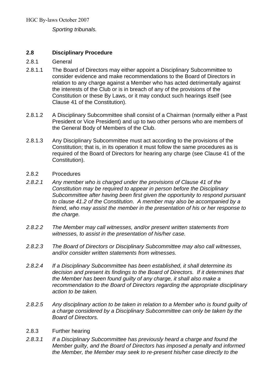*Sporting tribunals.*

# **2.8 Disciplinary Procedure**

- 2.8.1 General
- 2.8.1.1 The Board of Directors may either appoint a Disciplinary Subcommittee to consider evidence and make recommendations to the Board of Directors in relation to any charge against a Member who has acted detrimentally against the interests of the Club or is in breach of any of the provisions of the Constitution or these By Laws, or it may conduct such hearings itself (see Clause 41 of the Constitution).
- 2.8.1.2 A Disciplinary Subcommittee shall consist of a Chairman (normally either a Past President or Vice President) and up to two other persons who are members of the General Body of Members of the Club.
- 2.8.1.3 Any Disciplinary Subcommittee must act according to the provisions of the Constitution; that is, in its operation it must follow the same procedures as is required of the Board of Directors for hearing any charge (see Clause 41 of the Constitution).
- 2.8.2 Procedures
- *2.8.2.1 Any member who is charged under the provisions of Clause 41 of the Constitution may be required to appear in person before the Disciplinary Subcommittee after having been first given the opportunity to respond pursuant to clause 41.2 of the Constitution. A member may also be accompanied by a friend, who may assist the member in the presentation of his or her response to the charge.*
- *2.8.2.2 The Member may call witnesses, and/or present written statements from witnesses, to assist in the presentation of his/her case.*
- *2.8.2.3 The Board of Directors or Disciplinary Subcommittee may also call witnesses, and/or consider written statements from witnesses.*
- *2.8.2.4 If a Disciplinary Subcommittee has been established, it shall determine its decision and present its findings to the Board of Directors. If it determines that the Member has been found guilty of any charge, it shall also make a recommendation to the Board of Directors regarding the appropriate disciplinary action to be taken.*
- *2.8.2.5 Any disciplinary action to be taken in relation to a Member who is found guilty of a charge considered by a Disciplinary Subcommittee can only be taken by the Board of Directors.*
- 2.8.3 Further hearing
- *2.8.3.1 If a Disciplinary Subcommittee has previously heard a charge and found the Member guilty, and the Board of Directors has imposed a penalty and informed the Member, the Member may seek to re-present his/her case directly to the*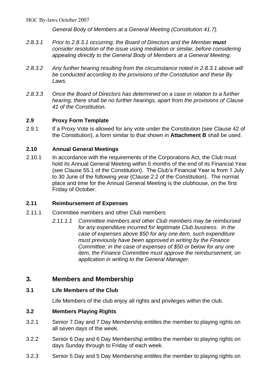*General Body of Members at a General Meeting (Constitution 41.7).*

- *2.8.3.1 Prior to 2.8.3.1 occurring, the Board of Directors and the Member must consider resolution of the issue using mediation or similar, before considering appealing directly to the General Body of Members at a General Meeting.*
- *2.8.3.2 Any further hearing resulting from the circumstance noted in 2.8.3.1 above will be conducted according to the provisions of the Constitution and these By Laws.*
- *2.8.3.3 Once the Board of Directors has determined on a case in relation to a further hearing, there shall be no further hearings, apart from the provisions of Clause 41 of the Constitution.*

# **2.9 Proxy Form Template**

2.9.1 If a Proxy Vote is allowed for any vote under the Constitution (see Clause 42 of the Constitution), a form similar to that shown in **Attachment B** shall be used.

# **2.10 Annual General Meetings**

2.10.1 In accordance with the requirements of the Corporations Act, the Club must hold its Annual General Meeting within 5 months of the end of its Financial Year (see Clause 55.1 of the Constitution). The Club's Financial Year is from 1 July to 30 June of the following year (Clause 2.2 of the Constitution). The normal place and time for the Annual General Meeting is the clubhouse, on the first Friday of October.

# **2.11 Reimbursement of Expenses**

- 2.11.1 Committee members and other Club members
	- *2.11.1.1 Committee members and other Club members may be reimbursed for any expenditure incurred for legitimate Club business. In the case of expenses above \$50 for any one item, such expenditure must previously have been approved in writing by the Finance Committee; in the case of expenses of \$50 or below for any one item, the Finance Committee must approve the reimbursement, on application in writing to the General Manager.*

# **3. Members and Membership**

# **3.1 Life Members of the Club**

Life Members of the club enjoy all rights and privileges within the club.

# **3.2 Members Playing Rights**

- 3.2.1 Senior 7 Day and 7 Day Membership entitles the member to playing rights on all seven days of the week.
- 3.2.2 Senior 6 Day and 6 Day Membership entitles the member to playing rights on days Sunday through to Friday of each week.
- 3.2.3 Senior 5 Day and 5 Day Membership entitles the member to playing rights on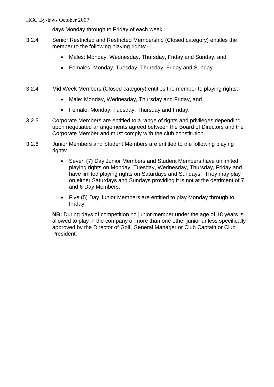days Monday through to Friday of each week.

- 3.2.4 Senior Restricted and Restricted Membership (Closed category) entitles the member to the following playing rights:-
	- Males: Monday, Wednesday, Thursday, Friday and Sunday, and
	- Females: Monday, Tuesday, Thursday, Friday and Sunday.
- 3.2.4 Mid Week Members (Closed category) entitles the member to playing rights:-
	- Male: Monday, Wednesday, Thursday and Friday, and
	- Female: Monday, Tuesday, Thursday and Friday.
- 3.2.5 Corporate Members are entitled to a range of rights and privileges depending upon negotiated arrangements agreed between the Board of Directors and the Corporate Member and must comply with the club constitution.
- 3.2.6 Junior Members and Student Members are entitled to the following playing rights:
	- Seven (7) Day Junior Members and Student Members have unlimited playing rights on Monday, Tuesday, Wednesday, Thursday, Friday and have limited playing rights on Saturdays and Sundays. They may play on either Saturdays and Sundays providing it is not at the detriment of 7 and 6 Day Members.
	- Five (5) Day Junior Members are entitled to play Monday through to Friday.

**NB:** During days of competition no junior member under the age of 18 years is allowed to play in the company of more than one other junior unless specifically approved by the Director of Golf, General Manager or Club Captain or Club President.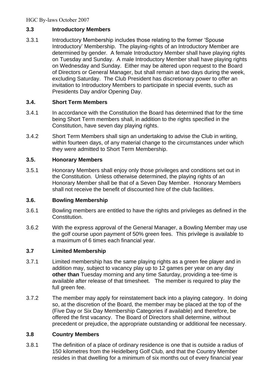# **3.3 Introductory Members**

3.3.1 Introductory Membership includes those relating to the former 'Spouse Introductory' Membership. The playing-rights of an Introductory Member are determined by gender. A female Introductory Member shall have playing rights on Tuesday and Sunday. A male Introductory Member shall have playing rights on Wednesday and Sunday. Either may be altered upon request to the Board of Directors or General Manager, but shall remain at two days during the week, excluding Saturday. The Club President has discretionary power to offer an invitation to Introductory Members to participate in special events, such as Presidents Day and/or Opening Day.

# **3.4. Short Term Members**

- 3.4.1 In accordance with the Constitution the Board has determined that for the time being Short Term members shall, in addition to the rights specified in the Constitution, have seven day playing rights.
- 3.4.2 Short Term Members shall sign an undertaking to advise the Club in writing, within fourteen days, of any material change to the circumstances under which they were admitted to Short Term Membership.

# **3.5. Honorary Members**

3.5.1 Honorary Members shall enjoy only those privileges and conditions set out in the Constitution. Unless otherwise determined, the playing rights of an Honorary Member shall be that of a Seven Day Member. Honorary Members shall not receive the benefit of discounted hire of the club facilities.

# **3.6. Bowling Membership**

- 3.6.1 Bowling members are entitled to have the rights and privileges as defined in the Constitution.
- 3.6.2 With the express approval of the General Manager, a Bowling Member may use the golf course upon payment of 50% green fees. This privilege is available to a maximum of 6 times each financial year.

# **3.7 Limited Membership**

- 3.7.1 Limited membership has the same playing rights as a green fee player and in addition may, subject to vacancy play up to 12 games per year on any day **other than** Tuesday morning and any time Saturday, providing a tee-time is available after release of that timesheet. The member is required to play the full green fee.
- 3.7.2 The member may apply for reinstatement back into a playing category. In doing so, at the discretion of the Board, the member may be placed at the top of the (Five Day or Six Day Membership Categories if available) and therefore, be offered the first vacancy. The Board of Directors shall determine, without precedent or prejudice, the appropriate outstanding or additional fee necessary.

# **3.8 Country Members**

3.8.1 The definition of a place of ordinary residence is one that is outside a radius of 150 kilometres from the Heidelberg Golf Club, and that the Country Member resides in that dwelling for a minimum of six months out of every financial year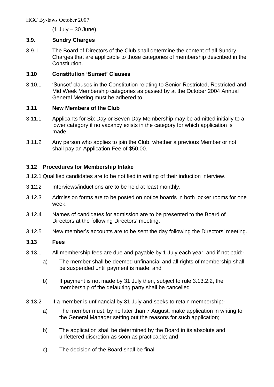(1 July – 30 June).

# **3.9. Sundry Charges**

3.9.1 The Board of Directors of the Club shall determine the content of all Sundry Charges that are applicable to those categories of membership described in the Constitution.

# **3.10 Constitution 'Sunset' Clauses**

3.10.1 'Sunset' clauses in the Constitution relating to Senior Restricted, Restricted and Mid Week Membership categories as passed by at the October 2004 Annual General Meeting must be adhered to.

# **3.11 New Members of the Club**

- 3.11.1 Applicants for Six Day or Seven Day Membership may be admitted initially to a lower category if no vacancy exists in the category for which application is made.
- 3.11.2 Any person who applies to join the Club, whether a previous Member or not, shall pay an Application Fee of \$50.00.

# **3.12 Procedures for Membership Intake**

- 3.12.1 Qualified candidates are to be notified in writing of their induction interview.
- 3.12.2 Interviews/inductions are to be held at least monthly.
- 3.12.3 Admission forms are to be posted on notice boards in both locker rooms for one week.
- 3.12.4 Names of candidates for admission are to be presented to the Board of Directors at the following Directors' meeting.
- 3.12.5 New member's accounts are to be sent the day following the Directors' meeting.

# **3.13 Fees**

- 3.13.1 All membership fees are due and payable by 1 July each year, and if not paid:
	- a) The member shall be deemed unfinancial and all rights of membership shall be suspended until payment is made; and
	- b) If payment is not made by 31 July then, subject to rule 3.13.2.2, the membership of the defaulting party shall be cancelled
- 3.13.2 If a member is unfinancial by 31 July and seeks to retain membership:
	- a) The member must, by no later than 7 August, make application in writing to the General Manager setting out the reasons for such application;
	- b) The application shall be determined by the Board in its absolute and unfettered discretion as soon as practicable; and
	- c) The decision of the Board shall be final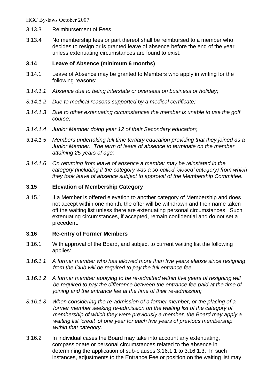- 3.13.3 Reimbursement of Fees
- 3.13.4 No membership fees or part thereof shall be reimbursed to a member who decides to resign or is granted leave of absence before the end of the year unless extenuating circumstances are found to exist.

# **3.14 Leave of Absence (minimum 6 months)**

- 3.14.1 Leave of Absence may be granted to Members who apply in writing for the following reasons:
- *3.14.1.1 Absence due to being interstate or overseas on business or holiday;*
- *3.14.1.2 Due to medical reasons supported by a medical certificate;*
- *3.14.1.3 Due to other extenuating circumstances the member is unable to use the golf course;*
- *3.14.1.4 Junior Member doing year 12 of their Secondary education;*
- *3.14.1.5 Members undertaking full time tertiary education providing that they joined as a Junior Member. The term of leave of absence to terminate on the member attaining 25 years of age;*
- *3.14.1.6 On returning from leave of absence a member may be reinstated in the category (including if the category was a so-called 'closed' category) from which they took leave of absence subject to approval of the Membership Committee.*

# **3.15 Elevation of Membership Category**

3.15.1 If a Member is offered elevation to another category of Membership and does not accept within one month, the offer will be withdrawn and their name taken off the waiting list unless there are extenuating personal circumstances. Such extenuating circumstances, if accepted, remain confidential and do not set a precedent.

# **3.16 Re-entry of Former Members**

- 3.16.1 With approval of the Board, and subject to current waiting list the following applies:
- *3.16.1.1 A former member who has allowed more than five years elapse since resigning from the Club will be required to pay the full entrance fee*
- *3.16.1.2 A former member applying to be re-admitted within five years of resigning will be required to pay the difference between the entrance fee paid at the time of joining and the entrance fee at the time of their re-admission;*
- *3.16.1.3 When considering the re-admission of a former member, or the placing of a former member seeking re-admission on the waiting list of the category of membership of which they were previously a member, the Board may apply a waiting list 'credit' of one year for each five years of previous membership within that category.*
- 3.16.2 In individual cases the Board may take into account any extenuating, compassionate or personal circumstances related to the absence in determining the application of sub-clauses 3.16.1.1 to 3.16.1.3. In such instances, adjustments to the Entrance Fee or position on the waiting list may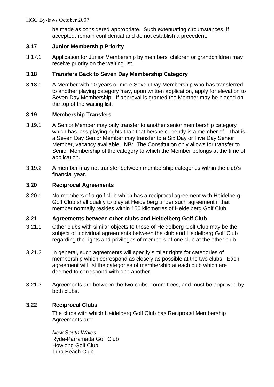be made as considered appropriate. Such extenuating circumstances, if accepted, remain confidential and do not establish a precedent.

# **3.17 Junior Membership Priority**

3.17.1 Application for Junior Membership by members' children or grandchildren may receive priority on the waiting list.

# **3.18 Transfers Back to Seven Day Membership Category**

3.18.1 A Member with 10 years or more Seven Day Membership who has transferred to another playing category may, upon written application, apply for elevation to Seven Day Membership. If approval is granted the Member may be placed on the top of the waiting list.

# **3.19 Membership Transfers**

- 3.19.1 A Senior Member may only transfer to another senior membership category which has less playing rights than that he/she currently is a member of. That is, a Seven Day Senior Member may transfer to a Six Day or Five Day Senior Member, vacancy available. **NB:** The Constitution only allows for transfer to Senior Membership of the category to which the Member belongs at the time of application.
- 3.19.2 A member may not transfer between membership categories within the club's financial year.

# **3.20 Reciprocal Agreements**

3.20.1 No members of a golf club which has a reciprocal agreement with Heidelberg Golf Club shall qualify to play at Heidelberg under such agreement if that member normally resides within 150 kilometres of Heidelberg Golf Club.

# **3.21 Agreements between other clubs and Heidelberg Golf Club**

- 3.21.1 Other clubs with similar objects to those of Heidelberg Golf Club may be the subject of individual agreements between the club and Heidelberg Golf Club regarding the rights and privileges of members of one club at the other club.
- 3.21.2 In general, such agreements will specify similar rights for categories of membership which correspond as closely as possible at the two clubs. Each agreement will list the categories of membership at each club which are deemed to correspond with one another.
- 3.21.3 Agreements are between the two clubs' committees, and must be approved by both clubs.

# **3.22 Reciprocal Clubs**

The clubs with which Heidelberg Golf Club has Reciprocal Membership Agreements are:

*New South Wales* Ryde-Parramatta Golf Club Howlong Golf Club Tura Beach Club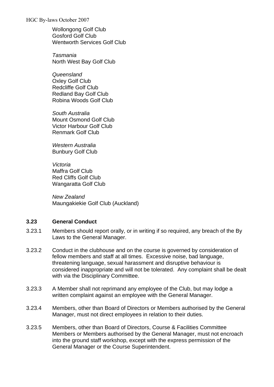Wollongong Golf Club Gosford Golf Club Wentworth Services Golf Club

*Tasmania* North West Bay Golf Club

*Queensland* Oxley Golf Club Redcliffe Golf Club Redland Bay Golf Club Robina Woods Golf Club

*South Australia* Mount Osmond Golf Club Victor Harbour Golf Club Renmark Golf Club

*Western Australia* Bunbury Golf Club

*Victoria* Maffra Golf Club Red Cliffs Golf Club Wangaratta Golf Club

*New Zealand* Maungakiekie Golf Club (Auckland)

# **3.23 General Conduct**

- 3.23.1 Members should report orally, or in writing if so required, any breach of the By Laws to the General Manager.
- 3.23.2 Conduct in the clubhouse and on the course is governed by consideration of fellow members and staff at all times. Excessive noise, bad language, threatening language, sexual harassment and disruptive behaviour is considered inappropriate and will not be tolerated. Any complaint shall be dealt with via the Disciplinary Committee.
- 3.23.3 A Member shall not reprimand any employee of the Club, but may lodge a written complaint against an employee with the General Manager.
- 3.23.4 Members, other than Board of Directors or Members authorised by the General Manager, must not direct employees in relation to their duties.
- 3.23.5 Members, other than Board of Directors, Course & Facilities Committee Members or Members authorised by the General Manager, must not encroach into the ground staff workshop, except with the express permission of the General Manager or the Course Superintendent.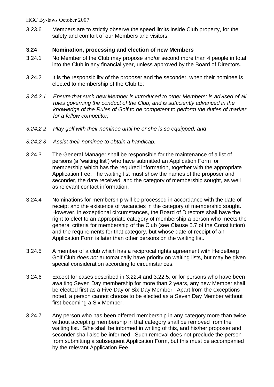3.23.6 Members are to strictly observe the speed limits inside Club property, for the safety and comfort of our Members and visitors.

# **3.24 Nomination, processing and election of new Members**

- 3.24.1 No Member of the Club may propose and/or second more than 4 people in total into the Club in any financial year, unless approved by the Board of Directors.
- 3.24.2 It is the responsibility of the proposer and the seconder, when their nominee is elected to membership of the Club to;
- *3.24.2.1 Ensure that such new Member is introduced to other Members; is advised of all rules governing the conduct of the Club; and is sufficiently advanced in the knowledge of the Rules of Golf to be competent to perform the duties of marker for a fellow competitor;*
- *3.24.2.2 Play golf with their nominee until he or she is so equipped; and*
- *3.24.2.3 Assist their nominee to obtain a handicap.*
- 3.24.3 The General Manager shall be responsible for the maintenance of a list of persons (a 'waiting list') who have submitted an Application Form for membership which has the required information, together with the appropriate Application Fee. The waiting list must show the names of the proposer and seconder, the date received, and the category of membership sought, as well as relevant contact information.
- 3.24.4 Nominations for membership will be processed in accordance with the date of receipt and the existence of vacancies in the category of membership sought. However, in exceptional circumstances, the Board of Directors shall have the right to elect to an appropriate category of membership a person who meets the general criteria for membership of the Club (see Clause 5.7 of the Constitution) and the requirements for that category, but whose date of receipt of an Application Form is later than other persons on the waiting list.
- 3.24.5 A member of a club which has a reciprocal rights agreement with Heidelberg Golf Club *does not* automatically have priority on waiting lists, but may be given special consideration according to circumstances.
- 3.24.6 Except for cases described in 3.22.4 and 3.22.5, or for persons who have been awaiting Seven Day membership for more than 2 years, any new Member shall be elected first as a Five Day or Six Day Member. Apart from the exceptions noted, a person cannot choose to be elected as a Seven Day Member without first becoming a Six Member.
- 3.24.7 Any person who has been offered membership in any category more than twice without accepting membership in that category shall be removed from the waiting list. S/he shall be informed in writing of this, and his/her proposer and seconder shall also be informed. Such removal does not preclude the person from submitting a subsequent Application Form, but this must be accompanied by the relevant Application Fee.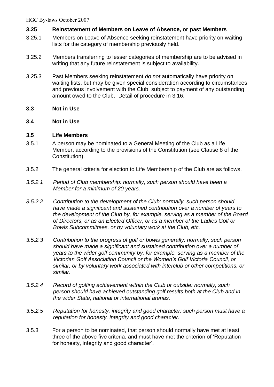# **3.25 Reinstatement of Members on Leave of Absence, or past Members**

- 3.25.1 Members on Leave of Absence seeking reinstatement have priority on waiting lists for the category of membership previously held.
- 3.25.2 Members transferring to lesser categories of membership are to be advised in writing that any future reinstatement is subject to availability.
- 3.25.3 Past Members seeking reinstatement *do not* automatically have priority on waiting lists, but may be given special consideration according to circumstances and previous involvement with the Club, subject to payment of any outstanding amount owed to the Club. Detail of procedure in 3.16.
- **3.3 Not in Use**

# **3.4 Not in Use**

# **3.5 Life Members**

- 3.5.1 A person may be nominated to a General Meeting of the Club as a Life Member, according to the provisions of the Constitution (see Clause 8 of the Constitution).
- 3.5.2 The general criteria for election to Life Membership of the Club are as follows.
- *3.5.2.1 Period of Club membership: normally, such person should have been a Member for a minimum of 20 years.*
- *3.5.2.2 Contribution to the development of the Club: normally, such person should have made a significant and sustained contribution over a number of years to the development of the Club by, for example, serving as a member of the Board of Directors, or as an Elected Officer, or as a member of the Ladies Golf or Bowls Subcommittees, or by voluntary work at the Club, etc.*
- *3.5.2.3 Contribution to the progress of golf or bowls generally: normally, such person should have made a significant and sustained contribution over a number of years to the wider golf community by, for example, serving as a member of the Victorian Golf Association Council or the Women's Golf Victoria Council, or similar, or by voluntary work associated with interclub or other competitions, or similar.*
- *3.5.2.4 Record of golfing achievement within the Club or outside: normally, such person should have achieved outstanding golf results both at the Club and in the wider State, national or international arenas.*
- *3.5.2.5 Reputation for honesty, integrity and good character: such person must have a reputation for honesty, integrity and good character.*
- 3.5.3 For a person to be nominated, that person should normally have met at least three of the above five criteria, and must have met the criterion of 'Reputation for honesty, integrity and good character'.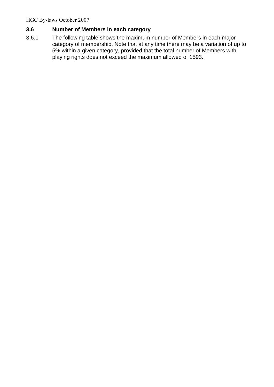# **3.6 Number of Members in each category**

3.6.1 The following table shows the maximum number of Members in each major category of membership. Note that at any time there may be a variation of up to 5% within a given category, provided that the total number of Members with playing rights does not exceed the maximum allowed of 1593.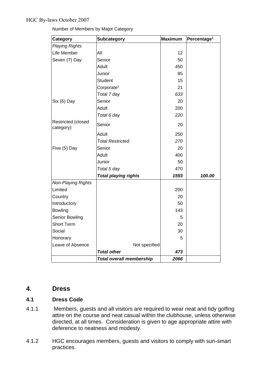| Category                        | Subcategory                     | <b>Maximum</b> | Percentage <sup>1</sup> |
|---------------------------------|---------------------------------|----------------|-------------------------|
| <b>Playing Rights</b>           |                                 |                |                         |
| Life Member                     | All                             | 12             |                         |
| Seven (7) Day                   | Senior                          | 50             |                         |
|                                 | Adult                           | 450            |                         |
|                                 | Junior                          | 85             |                         |
|                                 | <b>Student</b>                  | 15             |                         |
|                                 | Corporate <sup>2</sup>          | 21             |                         |
|                                 | Total 7 day                     | 633            |                         |
| Six (6) Day                     | Senior                          | 20             |                         |
|                                 | Adult                           | 200            |                         |
|                                 | Total 6 day                     | 220            |                         |
| Restricted (closed<br>category) | Senior                          | 20             |                         |
|                                 | Adult                           | 250            |                         |
|                                 | <b>Total Restricted</b>         | 270            |                         |
| Five (5) Day                    | Senior                          | 20             |                         |
|                                 | Adult                           | 400            |                         |
|                                 | Junior                          | 50             |                         |
|                                 | Total 5 day                     | 470            |                         |
|                                 | <b>Total playing rights</b>     | 1593           | 100.00                  |
| <b>Non-Playing Rights</b>       |                                 |                |                         |
| Limited                         |                                 | 200            |                         |
| Country                         |                                 | 20             |                         |
| Introductory                    |                                 | 50             |                         |
| <b>Bowling</b>                  |                                 | 143            |                         |
| Senior Bowling                  |                                 | 5              |                         |
| <b>Short Term</b>               |                                 | 20             |                         |
| Social                          |                                 | 30             |                         |
| Honorary                        |                                 | 5              |                         |
| Leave of Absence                | Not specified                   |                |                         |
|                                 | <b>Total other</b>              | 473            |                         |
|                                 | <b>Total overall membership</b> | 2066           |                         |

Number of Members by Major Category

# **4. Dress**

# **4.1 Dress Code**

- 4.1.1 Members, guests and all visitors are required to wear neat and tidy golfing attire on the course and neat casual within the clubhouse, unless otherwise directed, at all times. Consideration is given to age appropriate attire with deference to neatness and modesty.
- 4.1.2 HGC encourages members, guests and visitors to comply with sun-smart practices.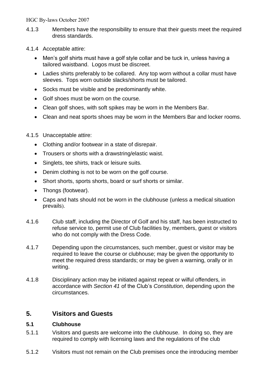- 4.1.3 Members have the responsibility to ensure that their guests meet the required dress standards.
- 4.1.4 Acceptable attire:
	- Men's golf shirts must have a golf style collar and be tuck in, unless having a tailored waistband. Logos must be discreet.
	- Ladies shirts preferably to be collared. Any top worn without a collar must have sleeves. Tops worn outside slacks/shorts must be tailored.
	- Socks must be visible and be predominantly white.
	- Golf shoes must be worn on the course.
	- Clean golf shoes, with soft spikes may be worn in the Members Bar.
	- Clean and neat sports shoes may be worn in the Members Bar and locker rooms.

# 4.1.5 Unacceptable attire:

- Clothing and/or footwear in a state of disrepair.
- Trousers or shorts with a drawstring/elastic waist.
- Singlets, tee shirts, track or leisure suits.
- Denim clothing is not to be worn on the golf course.
- Short shorts, sports shorts, board or surf shorts or similar.
- Thongs (footwear).
- Caps and hats should not be worn in the clubhouse (unless a medical situation prevails).
- 4.1.6 Club staff, including the Director of Golf and his staff, has been instructed to refuse service to, permit use of Club facilities by, members, guest or visitors who do not comply with the Dress Code.
- 4.1.7 Depending upon the circumstances, such member, guest or visitor may be required to leave the course or clubhouse; may be given the opportunity to meet the required dress standards; or may be given a warning, orally or in writing.
- 4.1.8 Disciplinary action may be initiated against repeat or wilful offenders, in accordance with *Section 41* of the Club's *Constitution*, depending upon the circumstances.

# **5. Visitors and Guests**

# **5.1 Clubhouse**

- 5.1.1 Visitors and guests are welcome into the clubhouse. In doing so, they are required to comply with licensing laws and the regulations of the club
- 5.1.2 Visitors must not remain on the Club premises once the introducing member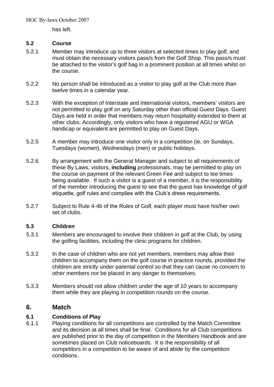has left.

# **5.2 Course**

- 5.2.1 Member may introduce up to three visitors at selected times to play golf, and must obtain the necessary visitors pass/s from the Golf Shop. This pass/s must be attached to the visitor's golf bag in a prominent position at all times whilst on the course.
- 5.2.2 No person shall be introduced as a visitor to play golf at the Club more than twelve times in a calendar year.
- 5.2.3 With the exception of Interstate and international visitors, members' visitors are not permitted to play golf on any Saturday other than official Guest Days. Guest Days are held in order that members may return hospitality extended to them at other clubs. Accordingly, only visitors who have a registered AGU or WGA handicap or equivalent are permitted to play on Guest Days.
- 5.2.5 A member may introduce one visitor only in a competition (ie, on Sundays, Tuesdays (women), Wednesdays (men) or public holidays.
- 5.2.6 By arrangement with the General Manager and subject to all requirements of these By Laws, visitors, **including** professionals, may be permitted to play on the course on payment of the relevant Green Fee and subject to tee times being available. If such a visitor is a guest of a member, it is the responsibility of the member introducing the guest to see that the guest has knowledge of golf etiquette, golf rules and complies with the Club's dress requirements.
- 5.2.7 Subject to Rule 4-4b of the Rules of Golf, each player must have his/her own set of clubs.

# **5.3 Children**

- 5.3.1 Members are encouraged to involve their children in golf at the Club, by using the golfing facilities, including the clinic programs for children.
- 5.3.2 In the case of children who are not yet members, members may allow their children to accompany them on the golf course in practice rounds, provided the children are strictly under parental control so that they can cause no concern to other members nor be placed in any danger to themselves.
- 5.3.3 Members should not allow children under the age of 10 years to accompany them while they are playing in competition rounds on the course.

# **6. Match**

# **6.1 Conditions of Play**

6.1.1 Playing conditions for all competitions are controlled by the Match Committee and its decision at all times shall be final. Conditions for all Club competitions are published prior to the day of competition in the Members Handbook and are sometimes placed on Club noticeboards. It is the responsibility of all competitors in a competition to be aware of and abide by the competition conditions.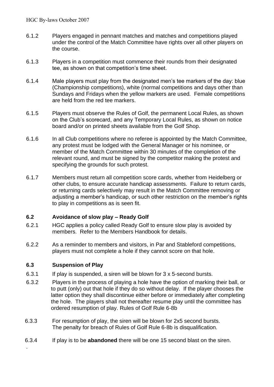- 6.1.2 Players engaged in pennant matches and matches and competitions played under the control of the Match Committee have rights over all other players on the course.
- 6.1.3 Players in a competition must commence their rounds from their designated tee, as shown on that competition's time sheet.
- 6.1.4 Male players must play from the designated men's tee markers of the day: blue (Championship competitions), white (normal competitions and days other than Sundays and Fridays when the yellow markers are used*.* Female competitions are held from the red tee markers.
- 6.1.5 Players must observe the Rules of Golf, the permanent Local Rules, as shown on the Club's scorecard, and any Temporary Local Rules, as shown on notice board and/or on printed sheets available from the Golf Shop.
- 6.1.6 In all Club competitions where no referee is appointed by the Match Committee, any protest must be lodged with the General Manager or his nominee, or member of the Match Committee within 30 minutes of the completion of the relevant round, and must be signed by the competitor making the protest and specifying the grounds for such protest.
- 6.1.7 Members must return all competition score cards, whether from Heidelberg or other clubs, to ensure accurate handicap assessments. Failure to return cards, or returning cards selectively may result in the Match Committee removing or adjusting a member's handicap, or such other restriction on the member's rights to play in competitions as is seen fit.

# **6.2 Avoidance of slow play – Ready Golf**

- 6.2.1 HGC applies a policy called Ready Golf to ensure slow play is avoided by members. Refer to the Members Handbook for details.
- 6.2.2 As a reminder to members and visitors, in Par and Stableford competitions, players must not complete a hole if they cannot score on that hole.

# **6.3 Suspension of Play**

.

- 6.3.1 If play is suspended, a siren will be blown for 3 x 5-second bursts.
- 6.3.2 Players in the process of playing a hole have the option of marking their ball, or to putt (only) out that hole if they do so without delay. If the player chooses the latter option they shall discontinue either before or immediately after completing the hole. The players shall not thereafter resume play until the committee has ordered resumption of play. Rules of Golf Rule 6-8b
- 6.3.3 For resumption of play, the siren will be blown for 2x5 second bursts. The penalty for breach of Rules of Golf Rule 6-8b is disqualification.
- 6.3.4 If play is to be **abandoned** there will be one 15 second blast on the siren.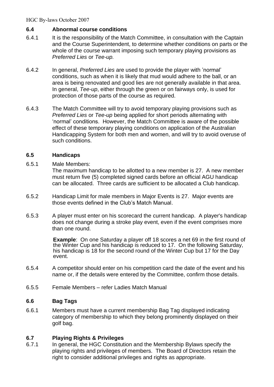# **6.4 Abnormal course conditions**

- 6.4.1 It is the responsibility of the Match Committee, in consultation with the Captain and the Course Superintendent, to determine whether conditions on parts or the whole of the course warrant imposing such temporary playing provisions as *Preferred Lies* or *Tee-up.*
- 6.4.2 In general, *Preferred Lies* are used to provide the player with 'normal' conditions, such as when it is likely that mud would adhere to the ball, or an area is being renovated and good lies are not generally available in that area. In general, *Tee-up*, either through the green or on fairways only, is used for protection of those parts of the course as required.
- 6.4.3 The Match Committee will try to avoid temporary playing provisions such as *Preferred Lies* or *Tee-up* being applied for short periods alternating with 'normal' conditions. However, the Match Committee is aware of the possible effect of these temporary playing conditions on application of the Australian Handicapping System for both men and women, and will try to avoid overuse of such conditions.

# **6.5 Handicaps**

# 6.5.1 Male Members:

The maximum handicap to be allotted to a new member is 27. A new member must return five (5) completed signed cards before an official AGU handicap can be allocated. Three cards are sufficient to be allocated a Club handicap.

- 6.5.2 Handicap Limit for male members in Major Events is 27. Major events are those events defined in the Club's Match Manual.
- 6.5.3 A player must enter on his scorecard the current handicap. A player's handicap does not change during a stroke play event, even if the event comprises more than one round.

**Example**: On one Saturday a player off 18 scores a net 69 in the first round of the Winter Cup and his handicap is reduced to 17. On the following Saturday, his handicap is 18 for the second round of the Winter Cup but 17 for the Day event.

- 6.5.4 A competitor should enter on his competition card the date of the event and his name or, if the details were entered by the Committee, confirm those details.
- 6.5.5 Female Members refer Ladies Match Manual

# **6.6 Bag Tags**

6.6.1 Members must have a current membership Bag Tag displayed indicating category of membership to which they belong prominently displayed on their golf bag.

# **6.7 Playing Rights & Privileges**

6.7.1 In general, the HGC Constitution and the Membership Bylaws specify the playing rights and privileges of members. The Board of Directors retain the right to consider additional privileges and rights as appropriate.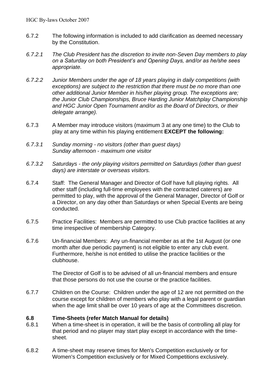- 6.7.2 The following information is included to add clarification as deemed necessary by the Constitution.
- *6.7.2.1 The Club President has the discretion to invite non-Seven Day members to play on a Saturday on both President's and Opening Days, and/or as he/she sees appropriate.*
- *6.7.2.2 Junior Members under the age of 18 years playing in daily competitions (with exceptions) are subject to the restriction that there must be no more than one other additional Junior Member in his/her playing group. The exceptions are; the Junior Club Championships, Bruce Harding Junior Matchplay Championship and HGC Junior Open Tournament and/or as the Board of Directors, or their delegate arrange).*
- 6.7.3 A Member may introduce visitors (maximum 3 at any one time) to the Club to play at any time within his playing entitlement **EXCEPT the following:**
- *6.7.3.1 Sunday morning - no visitors (other than guest days) Sunday afternoon - maximum one visitor*
- *6.7.3.2 Saturdays - the only playing visitors permitted on Saturdays (other than guest days) are interstate or overseas visitors.*
- 6.7.4 Staff: The General Manager and Director of Golf have full playing rights. All other staff (including full-time employees with the contracted caterers) are permitted to play, with the approval of the General Manager, Director of Golf or a Director, on any day other than Saturdays or when Special Events are being conducted.
- 6.7.5 Practice Facilities: Members are permitted to use Club practice facilities at any time irrespective of membership Category.
- 6.7.6 Un-financial Members: Any un-financial member as at the 1st August (or one month after due periodic payment) is not eligible to enter any club event. Furthermore, he/she is not entitled to utilise the practice facilities or the clubhouse.

The Director of Golf is to be advised of all un-financial members and ensure that those persons do not use the course or the practice facilities.

6.7.7 Children on the Course: Children under the age of 12 are not permitted on the course except for children of members who play with a legal parent or guardian when the age limit shall be over 10 years of age at the Committees discretion.

# **6.8 Time-Sheets (refer Match Manual for details)**

- 6.8.1 When a time-sheet is in operation, it will be the basis of controlling all play for that period and no player may start play except in accordance with the timesheet.
- 6.8.2 A time-sheet may reserve times for Men's Competition exclusively or for Women's Competition exclusively or for Mixed Competitions exclusively.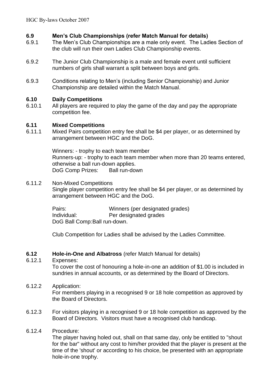# **6.9 Men's Club Championships (refer Match Manual for details)**

- 6.9.1 The Men's Club Championships are a male only event. The Ladies Section of the club will run their own Ladies Club Championship events.
- 6.9.2 The Junior Club Championship is a male and female event until sufficient numbers of girls shall warrant a split between boys and girls.
- 6.9.3 Conditions relating to Men's (including Senior Championship) and Junior Championship are detailed within the Match Manual.

# **6.10 Daily Competitions**

6.10.1 All players are required to play the game of the day and pay the appropriate competition fee.

# **6.11 Mixed Competitions**

6.11.1 Mixed Pairs competition entry fee shall be \$4 per player, or as determined by arrangement between HGC and the DoG.

> Winners: - trophy to each team member Runners-up: - trophy to each team member when more than 20 teams entered, otherwise a ball run-down applies. DoG Comp Prizes: Ball run-down

6.11.2 Non-Mixed Competitions Single player competition entry fee shall be \$4 per player, or as determined by arrangement between HGC and the DoG.

> Pairs: Winners (per designated grades) Individual: Per designated grades DoG Ball Comp:Ball run-down.

Club Competition for Ladies shall be advised by the Ladies Committee.

# **6.12 Hole-in-One and Albatross** (refer Match Manual for details)

# 6.12.1 Expenses:

To cover the cost of honouring a hole-in-one an addition of \$1.00 is included in sundries in annual accounts, or as determined by the Board of Directors.

# 6.12.2 Application:

For members playing in a recognised 9 or 18 hole competition as approved by the Board of Directors.

6.12.3 For visitors playing in a recognised 9 or 18 hole competition as approved by the Board of Directors. Visitors must have a recognised club handicap.

# 6.12.4 Procedure:

The player having holed out, shall on that same day, only be entitled to "shout for the bar" without any cost to him/her provided that the player is present at the time of the 'shout' or according to his choice, be presented with an appropriate hole-in-one trophy.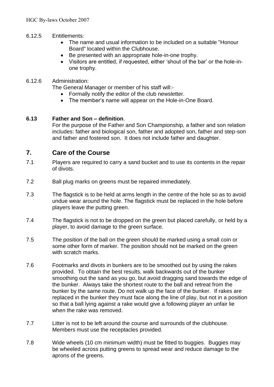# 6.12.5 Entitlements:

- The name and usual information to be included on a suitable "Honour Board" located within the Clubhouse.
- Be presented with an appropriate hole-in-one trophy.
- Visitors are entitled, if requested, either 'shout of the bar' or the hole-inone trophy.

# 6.12.6 Administration:

The General Manager or member of his staff will:-

- Formally notify the editor of the club newsletter.
- The member's name will appear on the Hole-in-One Board.

# **6.13 Father and Son – definition**.

For the purpose of the Father and Son Championship, a father and son relation includes: father and biological son, father and adopted son, father and step-son and father and fostered son. It does not include father and daughter.

# **7. Care of the Course**

- 7.1 Players are required to carry a sand bucket and to use its contents in the repair of divots.
- 7.2 Ball plug marks on greens must be repaired immediately.
- 7.3 The flagstick is to be held at arms length in the centre of the hole so as to avoid undue wear around the hole. The flagstick must be replaced in the hole before players leave the putting green.
- 7.4 The flagstick is not to be dropped on the green but placed carefully, or held by a player, to avoid damage to the green surface.
- 7.5 The position of the ball on the green should be marked using a small coin or some other form of marker. The position should not be marked on the green with scratch marks.
- 7.6 Footmarks and divots in bunkers are to be smoothed out by using the rakes provided. To obtain the best results, walk backwards out of the bunker smoothing out the sand as you go, but avoid dragging sand towards the edge of the bunker. Always take the shortest route to the ball and retreat from the bunker by the same route. Do not walk up the face of the bunker. If rakes are replaced in the bunker they must face along the line of play, but not in a position so that a ball lying against a rake would give a following player an unfair lie when the rake was removed.
- 7.7 Litter is not to be left around the course and surrounds of the clubhouse. Members must use the receptacles provided.
- 7.8 Wide wheels (10 cm minimum width) must be fitted to buggies. Buggies may be wheeled across putting greens to spread wear and reduce damage to the aprons of the greens.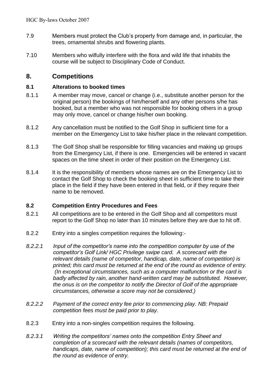- 7.9 Members must protect the Club's property from damage and, in particular, the trees, ornamental shrubs and flowering plants.
- 7.10 Members who wilfully interfere with the flora and wild life that inhabits the course will be subject to Disciplinary Code of Conduct.

# **8. Competitions**

# **8.1 Alterations to booked times**

- 8.1.1 A member may move, cancel or change (i.e., substitute another person for the original person) the bookings of him/herself and any other persons s/he has booked, but a member who was not responsible for booking others in a group may only move, cancel or change his/her own booking.
- 8.1.2 Any cancellation must be notified to the Golf Shop in sufficient time for a member on the Emergency List to take his/her place in the relevant competition.
- 8.1.3 The Golf Shop shall be responsible for filling vacancies and making up groups from the Emergency List, if there is one. Emergencies will be entered in vacant spaces on the time sheet in order of their position on the Emergency List.
- 8.1.4 It is the responsibility of members whose names are on the Emergency List to contact the Golf Shop to check the booking sheet in sufficient time to take their place in the field if they have been entered in that field, or if they require their name to be removed.

# **8.2 Competition Entry Procedures and Fees**

- 8.2.1 All competitions are to be entered in the Golf Shop and all competitors must report to the Golf Shop no later than 10 minutes before they are due to hit off.
- 8.2.2 Entry into a singles competition requires the following:-
- *8.2.2.1 Input of the competitor's name into the competition computer by use of the competitor's Golf Link/ HGC Privilege swipe card. A scorecard with the relevant details (name of competitor, handicap, date, name of competition) is printed; this card must be returned at the end of the round as evidence of entry. (In exceptional circumstances, such as a computer malfunction or the card is badly affected by rain, another hand-written card may be substituted. However, the onus is on the competitor to notify the Director of Golf of the appropriate circumstances, otherwise a score may not be considered.)*
- *8.2.2.2 Payment of the correct entry fee prior to commencing play. NB: Prepaid competition fees must be paid prior to play.*
- 8.2.3 Entry into a non-singles competition requires the following.
- *8.2.3.1 Writing the competitors' names onto the competition Entry Sheet and completion of a scorecard with the relevant details (names of competitors, handicaps, date, name of competition); this card must be returned at the end of the round as evidence of entry.*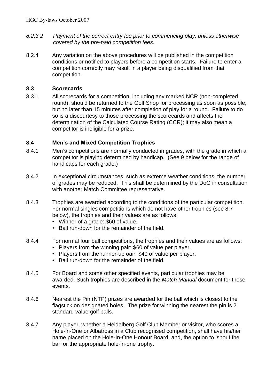- *8.2.3.2 Payment of the correct entry fee prior to commencing play, unless otherwise covered by the pre-paid competition fees.*
- 8.2.4 Any variation on the above procedures will be published in the competition conditions or notified to players before a competition starts. Failure to enter a competition correctly may result in a player being disqualified from that competition.

# **8.3 Scorecards**

8.3.1 All scorecards for a competition, including any marked NCR (non-completed round), should be returned to the Golf Shop for processing as soon as possible, but no later than 15 minutes after completion of play for a round. Failure to do so is a discourtesy to those processing the scorecards and affects the determination of the Calculated Course Rating (CCR); it may also mean a competitor is ineligible for a prize.

# **8.4 Men's and Mixed Competition Trophies**

- 8.4.1 Men's competitions are normally conducted in grades, with the grade in which a competitor is playing determined by handicap. (See 9 below for the range of handicaps for each grade.)
- 8.4.2 In exceptional circumstances, such as extreme weather conditions, the number of grades may be reduced. This shall be determined by the DoG in consultation with another Match Committee representative.
- 8.4.3 Trophies are awarded according to the conditions of the particular competition. For normal singles competitions which do not have other trophies (see 8.7 below), the trophies and their values are as follows:
	- Winner of a grade: \$60 of value.
	- Ball run-down for the remainder of the field.
- 8.4.4 For normal four ball competitions, the trophies and their values are as follows:
	- Players from the winning pair: \$60 of value per player.
	- Players from the runner-up oair: \$40 of value per player.
	- Ball run-down for the remainder of the field.
- 8.4.5 For Board and some other specified events, particular trophies may be awarded. Such trophies are described in the *Match Manual* document for those events.
- 8.4.6 Nearest the Pin (NTP) prizes are awarded for the ball which is closest to the flagstick on designated holes. The prize for winning the nearest the pin is 2 standard value golf balls.
- 8.4.7 Any player, whether a Heidelberg Golf Club Member or visitor, who scores a Hole-in-One or Albatross in a Club recognised competition, shall have his/her name placed on the Hole-In-One Honour Board, and, the option to 'shout the bar' or the appropriate hole-in-one trophy.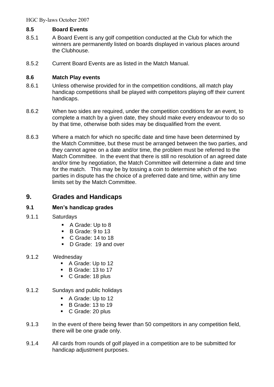# **8.5 Board Events**

- 8.5.1 A Board Event is any golf competition conducted at the Club for which the winners are permanently listed on boards displayed in various places around the Clubhouse.
- 8.5.2 Current Board Events are as listed in the Match Manual.

# **8.6 Match Play events**

- 8.6.1 Unless otherwise provided for in the competition conditions, all match play handicap competitions shall be played with competitors playing off their current handicaps.
- 8.6.2 When two sides are required, under the competition conditions for an event, to complete a match by a given date, they should make every endeavour to do so by that time, otherwise both sides may be disqualified from the event.
- 8.6.3 Where a match for which no specific date and time have been determined by the Match Committee, but these must be arranged between the two parties, and they cannot agree on a date and/or time, the problem must be referred to the Match Committee. In the event that there is still no resolution of an agreed date and/or time by negotiation, the Match Committee will determine a date and time for the match. This may be by tossing a coin to determine which of the two parties in dispute has the choice of a preferred date and time, within any time limits set by the Match Committee.

# **9. Grades and Handicaps**

# **9.1 Men's handicap grades**

- 9.1.1 Saturdays
	- A Grade: Up to 8
	- B Grade: 9 to 13
	- C Grade: 14 to 18
	- D Grade: 19 and over
- 9.1.2 Wednesday
	- A Grade: Up to 12
	- B Grade: 13 to 17
	- C Grade: 18 plus
- 9.1.2 Sundays and public holidays
	- A Grade: Up to 12
	- B Grade: 13 to 19
	- C Grade: 20 plus
- 9.1.3 In the event of there being fewer than 50 competitors in any competition field, there will be one grade only.
- 9.1.4 All cards from rounds of golf played in a competition are to be submitted for handicap adjustment purposes.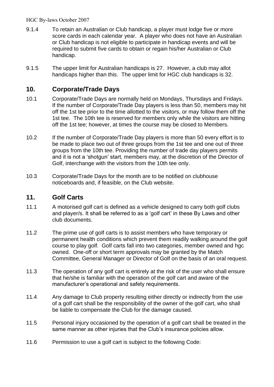- 9.1.4 To retain an Australian or Club handicap, a player must lodge five or more score cards in each calendar year. A player who does not have an Australian or Club handicap is not eligible to participate in handicap events and will be required to submit five cards to obtain or regain his/her Australian or Club handicap.
- 9.1.5 The upper limit for Australian handicaps is 27. However, a club may allot handicaps higher than this. The upper limit for HGC club handicaps is 32.

# **10. Corporate/Trade Days**

- 10.1 Corporate/Trade Days are normally held on Mondays, Thursdays and Fridays. If the number of Corporate/Trade Day players is less than 50, members may hit off the 1st tee prior to the time allotted to the visitors, or may follow them off the 1st tee. The 10th tee is reserved for members only while the visitors are hitting off the 1st tee; however, at times the course may be closed to Members.
- 10.2 If the number of Corporate/Trade Day players is more than 50 every effort is to be made to place two out of three groups from the 1st tee and one out of three groups from the 10th tee. Providing the number of trade day players permits and it is not a 'shotgun' start, members may, at the discretion of the Director of Golf, interchange with the visitors from the 10th tee only.
- 10.3 Corporate/Trade Days for the month are to be notified on clubhouse noticeboards and, if feasible, on the Club website.

# **11. Golf Carts**

- 11.1 A motorised golf cart is defined as a vehicle designed to carry both golf clubs and player/s. It shall be referred to as a 'golf cart' in these By Laws and other club documents.
- 11.2 The prime use of golf carts is to assist members who have temporary or permanent health conditions which prevent them readily walking around the golf course to play golf. Golf carts fall into two categories, member owned and hgc owned. One-off or short term approvals may be granted by the Match Committee, General Manager or Director of Golf on the basis of an oral request.
- 11.3 The operation of any golf cart is entirely at the risk of the user who shall ensure that he/she is familiar with the operation of the golf cart and aware of the manufacturer's operational and safety requirements.
- 11.4 Any damage to Club property resulting either directly or indirectly from the use of a golf cart shall be the responsibility of the owner of the golf cart, who shall be liable to compensate the Club for the damage caused.
- 11.5 Personal injury occasioned by the operation of a golf cart shall be treated in the same manner as other injuries that the Club's insurance policies allow.
- 11.6 Permission to use a golf cart is subject to the following Code: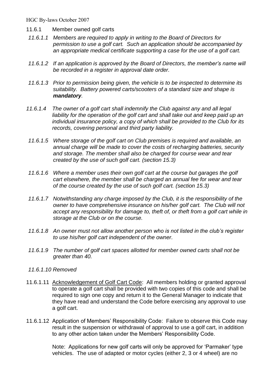- 11.6.1 Member owned golf carts
- *11.6.1.1 Members are required to apply in writing to the Board of Directors for permission to use a golf cart. Such an application should be accompanied by an appropriate medical certificate supporting a case for the use of a golf cart.*
- *11.6.1.2 If an application is approved by the Board of Directors, the member's name will be recorded in a register in approval date order.*
- *11.6.1.3 Prior to permission being given, the vehicle is to be inspected to determine its suitability. Battery powered carts/scooters of a standard size and shape is mandatory.*
- *11.6.1.4 The owner of a golf cart shall indemnify the Club against any and all legal*  liability for the operation of the golf cart and shall take out and keep paid up an *individual insurance policy, a copy of which shall be provided to the Club for its records, covering personal and third party liability.*
- *11.6.1.5 Where storage of the golf cart on Club premises is required and available, an annual charge will be made to cover the costs of recharging batteries, security and storage. The member shall also be charged for course wear and tear created by the use of such golf cart. (section 15.3)*
- *11.6.1.6 Where a member uses their own golf cart at the course but garages the golf cart elsewhere, the member shall be charged an annual fee for wear and tear of the course created by the use of such golf cart. (section 15.3)*
- *11.6.1.7 Notwithstanding any charge imposed by the Club, it is the responsibility of the owner to have comprehensive insurance on his/her golf cart. The Club will not accept any responsibility for damage to, theft of, or theft from a golf cart while in storage at the Club or on the course.*
- *11.6.1.8 An owner must not allow another person who is not listed in the club's register to use his/her golf cart independent of the owner.*
- *11.6.1.9 The number of golf cart spaces allotted for member owned carts shall not be greater than 40.*
- *11.6.1.10 Removed*
- 11.6.1.11 Acknowledgement of Golf Cart Code: All members holding or granted approval to operate a golf cart shall be provided with two copies of this code and shall be required to sign one copy and return it to the General Manager to indicate that they have read and understand the Code before exercising any approval to use a golf cart.
- 11.6.1.12 Application of Members' Responsibility Code: Failure to observe this Code may result in the suspension or withdrawal of approval to use a golf cart, in addition to any other action taken under the Members' Responsibility Code.

Note: Applications for new golf carts will only be approved for 'Parmaker' type vehicles. The use of adapted or motor cycles (either 2, 3 or 4 wheel) are no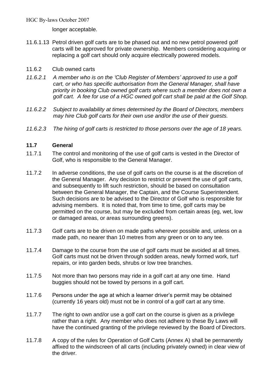longer acceptable.

- 11.6.1.13 Petrol driven golf carts are to be phased out and no new petrol powered golf carts will be approved for private ownership. Members considering acquiring or replacing a golf cart should only acquire electrically powered models.
- 11.6.2 Club owned carts
- *11.6.2.1 A member who is on the 'Club Register of Members' approved to use a golf cart, or who has specific authorisation from the General Manager, shall have priority in booking Club owned golf carts where such a member does not own a golf cart. A fee for use of a HGC owned golf cart shall be paid at the Golf Shop.*
- *11.6.2.2 Subject to availability at times determined by the Board of Directors, members may hire Club golf carts for their own use and/or the use of their guests.*
- *11.6.2.3 The hiring of golf carts is restricted to those persons over the age of 18 years.*

# **11.7 General**

- 11.7.1 The control and monitoring of the use of golf carts is vested in the Director of Golf, who is responsible to the General Manager.
- 11.7.2 In adverse conditions, the use of golf carts on the course is at the discretion of the General Manager. Any decision to restrict or prevent the use of golf carts, and subsequently to lift such restriction, should be based on consultation between the General Manager, the Captain, and the Course Superintendent. Such decisions are to be advised to the Director of Golf who is responsible for advising members. It is noted that, from time to time, golf carts may be permitted on the course, but may be excluded from certain areas (eg, wet, low or damaged areas, or areas surrounding greens).
- 11.7.3 Golf carts are to be driven on made paths wherever possible and, unless on a made path, no nearer than 10 metres from any green or on to any tee.
- 11.7.4 Damage to the course from the use of golf carts must be avoided at all times. Golf carts must not be driven through sodden areas, newly formed work, turf repairs, or into garden beds, shrubs or low tree branches.
- 11.7.5 Not more than two persons may ride in a golf cart at any one time. Hand buggies should not be towed by persons in a golf cart.
- 11.7.6 Persons under the age at which a learner driver's permit may be obtained (currently 16 years old) must not be in control of a golf cart at any time.
- 11.7.7 The right to own and/or use a golf cart on the course is given as a privilege rather than a right. Any member who does not adhere to these By Laws will have the continued granting of the privilege reviewed by the Board of Directors.
- 11.7.8 A copy of the rules for Operation of Golf Carts (Annex A) shall be permanently affixed to the windscreen of all carts (including privately owned) in clear view of the driver.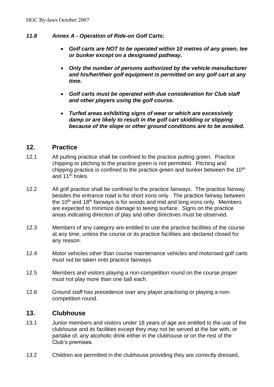# *11.8 Annex A - Operation of Ride-on Golf Carts:*

- *Golf carts are NOT to be operated within 10 metres of any green, tee or bunker except on a designated pathway.*
- *Only the number of persons authorized by the vehicle manufacturer and his/her/their golf equipment is permitted on any golf cart at any time.*
- *Golf carts must be operated with due consideration for Club staff and other players using the golf course.*
- *Turfed areas exhibiting signs of wear or which are excessively damp or are likely to result in the golf cart skidding or slipping because of the slope or other ground conditions are to be avoided.*

# **12. Practice**

- 12.1 All putting practice shall be confined to the practice putting green. Practice chipping or pitching to the practice green is not permitted. Pitching and chipping practice is confined to the practice green and bunker between the  $10<sup>th</sup>$ and 11th holes.
- 12.2 All golf practice shall be confined to the practice fairways. The practice fairway besides the entrance road is for short irons only. The practice fairway between the  $10<sup>th</sup>$  and  $18<sup>th</sup>$  fairways is for woods and mid and long irons only. Members are expected to minimize damage to teeing surface. Signs on the practice areas indicating direction of play and other directives must be observed.
- 12.3 Members of any category are entitled to use the practice facilities of the course at any time, unless the course or its practice facilities are declared closed for any reason.
- 12.4 Motor vehicles other than course maintenance vehicles and motorised golf carts must not be taken onto practice fairways.
- 12.5 Members and visitors playing a non-competition round on the course proper must not play more than one ball each.
- 12.6 Ground staff has precedence over any player practising or playing a noncompetition round.

# **13. Clubhouse**

- 13.1 Junior members and visitors under 18 years of age are entitled to the use of the clubhouse and its facilities except they may not be served at the bar with, or partake of, any alcoholic drink either in the clubhouse or on the rest of the Club's premises.
- 13.2 Children are permitted in the clubhouse providing they are correctly dressed,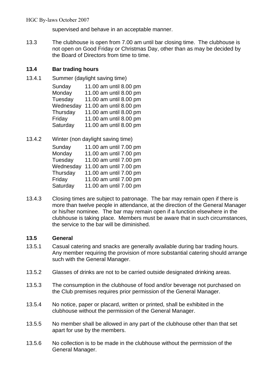supervised and behave in an acceptable manner.

13.3 The clubhouse is open from 7.00 am until bar closing time. The clubhouse is not open on Good Friday or Christmas Day, other than as may be decided by the Board of Directors from time to time.

# **13.4 Bar trading hours**

13.4.1 Summer (daylight saving time)

Sunday 11.00 am until 8.00 pm Monday 11.00 am until 8.00 pm Tuesday 11.00 am until 8.00 pm Wednesday 11.00 am until 8.00 pm Thursday 11.00 am until 8.00 pm Friday 11.00 am until 8.00 pm Saturday 11.00 am until 8.00 pm

13.4.2 Winter (non daylight saving time)

Sunday 11.00 am until 7.00 pm Monday 11.00 am until 7.00 pm Tuesday 11.00 am until 7.00 pm Wednesday 11.00 am until 7.00 pm Thursday 11.00 am until 7.00 pm Friday 11.00 am until 7.00 pm Saturday 11.00 am until 7.00 pm

13.4.3 Closing times are subject to patronage. The bar may remain open if there is more than twelve people in attendance, at the direction of the General Manager or his/her nominee. The bar may remain open if a function elsewhere in the clubhouse is taking place. Members must be aware that in such circumstances, the service to the bar will be diminished.

# **13.5 General**

- 13.5.1 Casual catering and snacks are generally available during bar trading hours. Any member requiring the provision of more substantial catering should arrange such with the General Manager.
- 13.5.2 Glasses of drinks are not to be carried outside designated drinking areas.
- 13.5.3 The consumption in the clubhouse of food and/or beverage not purchased on the Club premises requires prior permission of the General Manager.
- 13.5.4 No notice, paper or placard, written or printed, shall be exhibited in the clubhouse without the permission of the General Manager.
- 13.5.5 No member shall be allowed in any part of the clubhouse other than that set apart for use by the members.
- 13.5.6 No collection is to be made in the clubhouse without the permission of the General Manager.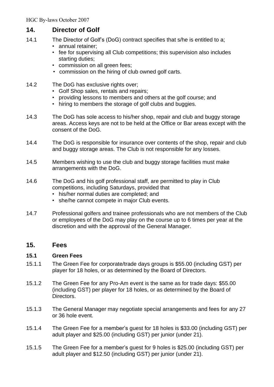# **14. Director of Golf**

- 14.1 The Director of Golf's (DoG) contract specifies that s/he is entitled to a;
	- annual retainer;
	- fee for supervising all Club competitions; this supervision also includes starting duties;
	- commission on all green fees;
	- commission on the hiring of club owned golf carts.
- 14.2 The DoG has exclusive rights over:
	- Golf Shop sales, rentals and repairs;
	- providing lessons to members and others at the golf course; and
	- hiring to members the storage of golf clubs and buggies.
- 14.3 The DoG has sole access to his/her shop, repair and club and buggy storage areas. Access keys are not to be held at the Office or Bar areas except with the consent of the DoG.
- 14.4 The DoG is responsible for insurance over contents of the shop, repair and club and buggy storage areas. The Club is not responsible for any losses.
- 14.5 Members wishing to use the club and buggy storage facilities must make arrangements with the DoG.
- 14.6 The DoG and his golf professional staff, are permitted to play in Club competitions, including Saturdays, provided that
	- his/her normal duties are completed; and
	- she/he cannot compete in major Club events.
- 14.7 Professional golfers and trainee professionals who are not members of the Club or employees of the DoG may play on the course up to 6 times per year at the discretion and with the approval of the General Manager.

# **15. Fees**

# **15.1 Green Fees**

- 15.1.1 The Green Fee for corporate/trade days groups is \$55.00 (including GST) per player for 18 holes, or as determined by the Board of Directors.
- 15.1.2 The Green Fee for any Pro-Am event is the same as for trade days: \$55.00 (including GST) per player for 18 holes, or as determined by the Board of Directors.
- 15.1.3 The General Manager may negotiate special arrangements and fees for any 27 or 36 hole event.
- 15.1.4 The Green Fee for a member's guest for 18 holes is \$33.00 (including GST) per adult player and \$25.00 (including GST) per junior (under 21).
- 15.1.5 The Green Fee for a member's guest for 9 holes is \$25.00 (including GST) per adult player and \$12.50 (including GST) per junior (under 21).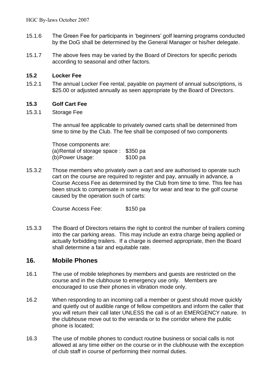- 15.1.6 The Green Fee for participants in 'beginners' golf learning programs conducted by the DoG shall be determined by the General Manager or his/her delegate.
- 15.1.7 The above fees may be varied by the Board of Directors for specific periods according to seasonal and other factors.

# **15.2 Locker Fee**

15.2.1 The annual Locker Fee rental, payable on payment of annual subscriptions, is \$25.00 or adjusted annually as seen appropriate by the Board of Directors.

# **15.3 Golf Cart Fee**

15.3.1 Storage Fee

The annual fee applicable to privately owned carts shall be determined from time to time by the Club. The fee shall be composed of two components

Those components are: (a)Rental of storage space : \$350 pa (b)Power Usage: \$100 pa

15.3.2 Those members who privately own a cart and are authorised to operate such cart on the course are required to register and pay, annually in advance, a Course Access Fee as determined by the Club from time to time. This fee has been struck to compensate in some way for wear and tear to the golf course caused by the operation such of carts:

Course Access Fee: \$150 pa

15.3.3 The Board of Directors retains the right to control the number of trailers coming into the car parking areas. This may include an extra charge being applied or actually forbidding trailers. If a charge is deemed appropriate, then the Board shall determine a fair and equitable rate.

# **16. Mobile Phones**

- 16.1 The use of mobile telephones by members and guests are restricted on the course and in the clubhouse to emergency use only. Members are encouraged to use their phones in vibration mode only.
- 16.2 When responding to an incoming call a member or guest should move quickly and quietly out of audible range of fellow competitors and inform the caller that you will return their call later UNLESS the call is of an EMERGENCY nature. In the clubhouse move out to the veranda or to the corridor where the public phone is located;
- 16.3 The use of mobile phones to conduct routine business or social calls is not allowed at any time either on the course or in the clubhouse with the exception of club staff in course of performing their normal duties.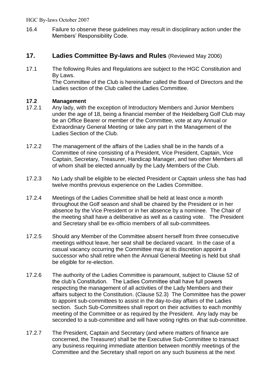16.4 Failure to observe these guidelines may result in disciplinary action under the Members' Responsibility Code.

# **17. Ladies Committee By-laws and Rules** (Reviewed May 2006)

17.1 The following Rules and Regulations are subject to the HGC Constitution and By Laws. The Committee of the Club is hereinafter called the Board of Directors and the Ladies section of the Club called the Ladies Committee.

# **17.2 Management**

- 17.2.1 Any lady, with the exception of Introductory Members and Junior Members under the age of 18, being a financial member of the Heidelberg Golf Club may be an Office Bearer or member of the Committee, vote at any Annual or Extraordinary General Meeting or take any part in the Management of the Ladies Section of the Club.
- 17.2.2 The management of the affairs of the Ladies shall be in the hands of a Committee of nine consisting of a President, Vice President, Captain, Vice Captain, Secretary, Treasurer, Handicap Manager, and two other Members all of whom shall be elected annually by the Lady Members of the Club.
- 17.2.3 No Lady shall be eligible to be elected President or Captain unless she has had twelve months previous experience on the Ladies Committee.
- 17.2.4 Meetings of the Ladies Committee shall be held at least once a month throughout the Golf season and shall be chaired by the President or in her absence by the Vice President or in her absence by a nominee. The Chair of the meeting shall have a deliberative as well as a casting vote. The President and Secretary shall be ex-officio members of all sub-committees.
- 17.2.5 Should any Member of the Committee absent herself from three consecutive meetings without leave, her seat shall be declared vacant. In the case of a casual vacancy occurring the Committee may at its discretion appoint a successor who shall retire when the Annual General Meeting is held but shall be eligible for re-election.
- 17.2.6 The authority of the Ladies Committee is paramount, subject to Clause 52 of the club's Constitution. The Ladies Committee shall have full powers respecting the management of all activities of the Lady Members and their affairs subject to the Constitution. (Clause 52.3) The Committee has the power to appoint sub-committees to assist in the day-to-day affairs of the Ladies section. Such Sub-Committees shall report on their activities to each monthly meeting of the Committee or as required by the President. Any lady may be seconded to a sub-committee and will have voting rights on that sub-committee.
- 17.2.7 The President, Captain and Secretary (and where matters of finance are concerned, the Treasurer) shall be the Executive Sub-Committee to transact any business requiring immediate attention between monthly meetings of the Committee and the Secretary shall report on any such business at the next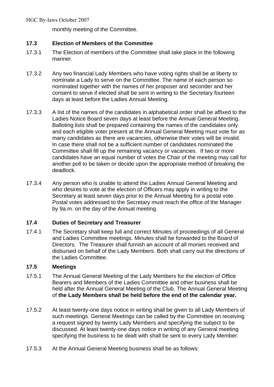monthly meeting of the Committee.

# **17.3 Election of Members of the Committee**

- 17.3.1 The Election of members of the Committee shall take place in the following manner.
- 17.3.2 Any two financial Lady Members who have voting rights shall be at liberty to nominate a Lady to serve on the Committee. The name of each person so nominated together with the names of her proposer and seconder and her consent to serve if elected shall be sent in writing to the Secretary fourteen days at least before the Ladies Annual Meeting.
- 17.3.3 A list of the names of the candidates in alphabetical order shall be affixed to the Ladies Notice Board seven days at least before the Annual General Meeting. Balloting lists shall be prepared containing the names of the candidates only and each eligible voter present at the Annual General Meeting must vote for as many candidates as there are vacancies, otherwise their votes will be invalid. In case there shall not be a sufficient number of candidates nominated the Committee shall fill up the remaining vacancy or vacancies. If two or more candidates have an equal number of votes the Chair of the meeting may call for another poll to be taken or decide upon the appropriate method of breaking the deadlock.
- 17.3.4 Any person who is unable to attend the Ladies Annual General Meeting and who desires to vote at the election of Officers may apply in writing to the Secretary at least seven days prior to the Annual Meeting for a postal vote. Postal votes addressed to the Secretary must reach the office of the Manager by 9a.m. on the day of the Annual meeting.

# **17.4 Duties of Secretary and Treasurer**

17.4.1 The Secretary shall keep full and correct Minutes of proceedings of all General and Ladies Committee meetings. Minutes shall be forwarded to the Board of Directors. The Treasurer shall furnish an account of all monies received and disbursed on behalf of the Lady Members. Both shall carry out the directions of the Ladies Committee.

# **17.5 Meetings**

- 17.5.1 The Annual General Meeting of the Lady Members for the election of Office Bearers and Members of the Ladies Committee and other business shall be held after the Annual General Meeting of the Club. The Annual General Meeting of **the Lady Members shall be held before the end of the calendar year.**
- 17.5.2 At least twenty-one days notice in writing shall be given to all Lady Members of such meetings. General Meetings can be called by the Committee on receiving a request signed by twenty Lady Members and specifying the subject to be discussed. At least twenty-one days notice in writing of any General meeting specifying the business to be dealt with shall be sent to every Lady Member.
- 17.5.3 At the Annual General Meeting business shall be as follows: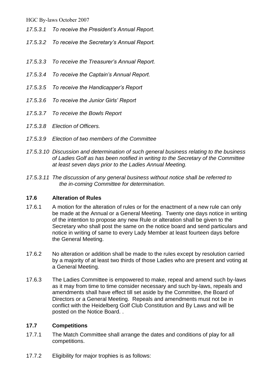- *17.5.3.1 To receive the President's Annual Report.*
- *17.5.3.2 To receive the Secretary's Annual Report.*
- *17.5.3.3 To receive the Treasurer's Annual Report.*
- *17.5.3.4 To receive the Captain's Annual Report.*
- *17.5.3.5 To receive the Handicapper's Report*
- *17.5.3.6 To receive the Junior Girls' Report*
- *17.5.3.7 To receive the Bowls Report*
- *17.5.3.8 Election of Officers.*
- *17.5.3.9 Election of two members of the Committee*
- *17.5.3.10 Discussion and determination of such general business relating to the business of Ladies Golf as has been notified in writing to the Secretary of the Committee at least seven days prior to the Ladies Annual Meeting.*
- *17.5.3.11 The discussion of any general business without notice shall be referred to the in-coming Committee for determination.*

# **17.6 Alteration of Rules**

- 17.6.1 A motion for the alteration of rules or for the enactment of a new rule can only be made at the Annual or a General Meeting. Twenty one days notice in writing of the intention to propose any new Rule or alteration shall be given to the Secretary who shall post the same on the notice board and send particulars and notice in writing of same to every Lady Member at least fourteen days before the General Meeting.
- 17.6.2 No alteration or addition shall be made to the rules except by resolution carried by a majority of at least two thirds of those Ladies who are present and voting at a General Meeting.
- 17.6.3 The Ladies Committee is empowered to make, repeal and amend such by-laws as it may from time to time consider necessary and such by-laws, repeals and amendments shall have effect till set aside by the Committee, the Board of Directors or a General Meeting. Repeals and amendments must not be in conflict with the Heidelberg Golf Club Constitution and By Laws and will be posted on the Notice Board. .

# **17.7 Competitions**

- 17.7.1 The Match Committee shall arrange the dates and conditions of play for all competitions.
- 17.7.2 Eligibility for major trophies is as follows: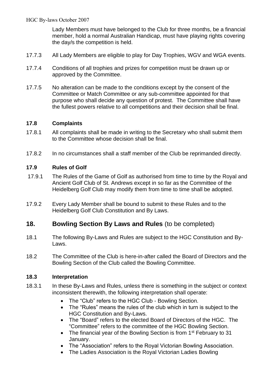Lady Members must have belonged to the Club for three months, be a financial member, hold a normal Australian Handicap, must have playing rights covering the day/s the competition is held.

- 17.7.3 All Lady Members are eligible to play for Day Trophies, WGV and WGA events.
- 17.7.4 Conditions of all trophies and prizes for competition must be drawn up or approved by the Committee.
- 17.7.5 No alteration can be made to the conditions except by the consent of the Committee or Match Committee or any sub-committee appointed for that purpose who shall decide any question of protest. The Committee shall have the fullest powers relative to all competitions and their decision shall be final.

# **17.8 Complaints**

- 17.8.1 All complaints shall be made in writing to the Secretary who shall submit them to the Committee whose decision shall be final.
- 17.8.2 In no circumstances shall a staff member of the Club be reprimanded directly.

# **17.9 Rules of Golf**

- 17.9.1 The Rules of the Game of Golf as authorised from time to time by the Royal and Ancient Golf Club of St. Andrews except in so far as the Committee of the Heidelberg Golf Club may modify them from time to time shall be adopted.
- 17.9.2 Every Lady Member shall be bound to submit to these Rules and to the Heidelberg Golf Club Constitution and By Laws.

# **18. Bowling Section By Laws and Rules** (to be completed)

- 18.1 The following By-Laws and Rules are subject to the HGC Constitution and By-Laws.
- 18.2 The Committee of the Club is here-in-after called the Board of Directors and the Bowling Section of the Club called the Bowling Committee.

# **18.3 Interpretation**

- 18.3.1 In these By-Laws and Rules, unless there is something in the subject or context inconsistent therewith, the following interpretation shall operate:
	- The "Club" refers to the HGC Club Bowling Section.
	- The "Rules" means the rules of the club which in turn is subject to the HGC Constitution and By-Laws.
	- The "Board" refers to the elected Board of Directors of the HGC. The "Committee" refers to the committee of the HGC Bowling Section.
	- The financial year of the Bowling Section is from 1<sup>st</sup> February to 31 January.
	- The "Association" refers to the Royal Victorian Bowling Association.
	- The Ladies Association is the Royal Victorian Ladies Bowling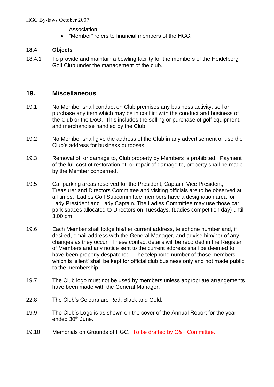Association.

• "Member" refers to financial members of the HGC.

# **18.4 Objects**

18.4.1 To provide and maintain a bowling facility for the members of the Heidelberg Golf Club under the management of the club.

# **19. Miscellaneous**

- 19.1 No Member shall conduct on Club premises any business activity, sell or purchase any item which may be in conflict with the conduct and business of the Club or the DoG. This includes the selling or purchase of golf equipment, and merchandise handled by the Club.
- 19.2 No Member shall give the address of the Club in any advertisement or use the Club's address for business purposes.
- 19.3 Removal of, or damage to, Club property by Members is prohibited. Payment of the full cost of restoration of, or repair of damage to, property shall be made by the Member concerned.
- 19.5 Car parking areas reserved for the President, Captain, Vice President, Treasurer and Directors Committee and visiting officials are to be observed at all times. Ladies Golf Subcommittee members have a designation area for Lady President and Lady Captain. The Ladies Committee may use those car park spaces allocated to Directors on Tuesdays, (Ladies competition day) until 3.00 pm.
- 19.6 Each Member shall lodge his/her current address, telephone number and, if desired, email address with the General Manager, and advise him/her of any changes as they occur. These contact details will be recorded in the Register of Members and any notice sent to the current address shall be deemed to have been properly despatched. The telephone number of those members which is 'silent' shall be kept for official club business only and not made public to the membership.
- 19.7 The Club logo must not be used by members unless appropriate arrangements have been made with the General Manager.
- 22.8 The Club's Colours are Red, Black and Gold.
- 19.9 The Club's Logo is as shown on the cover of the Annual Report for the year ended 30<sup>th</sup> June.
- 19.10 Memorials on Grounds of HGC. To be drafted by C&F Committee.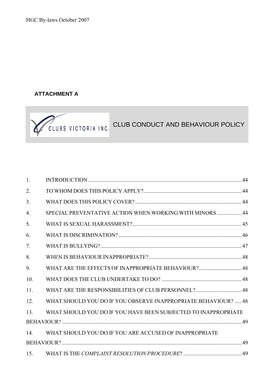# **ATTACHMENT A**



| 1.  |                                                                |  |
|-----|----------------------------------------------------------------|--|
| 2.  |                                                                |  |
| 3.  |                                                                |  |
| 4.  | SPECIAL PREVENTATIVE ACTION WHEN WORKING WITH MINORS  44       |  |
| 5.  |                                                                |  |
| 6.  |                                                                |  |
| 7.  |                                                                |  |
| 8.  |                                                                |  |
| 9.  | WHAT ARE THE EFFECTS OF INAPPROPRIATE BEHAVIOUR? 48            |  |
| 10. |                                                                |  |
| 11. | WHAT ARE THE RESPONSIBILITIES OF CLUB PERSONNEL?  48           |  |
| 12. | WHAT SHOULD YOU DO IF YOU OBSERVE INAPPROPRIATE BEHAVIOUR?  48 |  |
| 13. | WHAT SHOULD YOU DO IF YOU HAVE BEEN SUBJECTED TO INAPPROPRIATE |  |
|     |                                                                |  |
| 14. | WHAT SHOULD YOU DO IF YOU ARE ACCUSED OF INAPPROPRIATE         |  |
|     |                                                                |  |
| 15. |                                                                |  |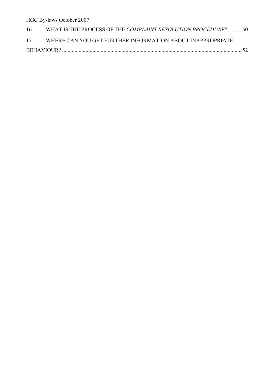| 16. | WHAT IS THE PROCESS OF THE COMPLAINT RESOLUTION PROCEDURE?50  |  |
|-----|---------------------------------------------------------------|--|
|     | 17. WHERE CAN YOU GET FURTHER INFORMATION ABOUT INAPPROPRIATE |  |
|     |                                                               |  |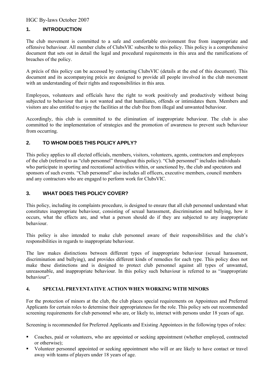# **1. INTRODUCTION**

The club movement is committed to a safe and comfortable environment free from inappropriate and offensive behaviour. All member clubs of ClubsVIC subscribe to this policy. This policy is a comprehensive document that sets out in detail the legal and procedural requirements in this area and the ramifications of breaches of the policy.

A précis of this policy can be accessed by contacting ClubsVIC (details at the end of this document). This document and its accompanying précis are designed to provide all people involved in the club movement with an understanding of their rights and responsibilities in this area.

Employees, volunteers and officials have the right to work positively and productively without being subjected to behaviour that is not wanted and that humiliates, offends or intimidates them. Members and visitors are also entitled to enjoy the facilities at the club free from illegal and unwanted behaviour.

Accordingly, this club is committed to the elimination of inappropriate behaviour. The club is also committed to the implementation of strategies and the promotion of awareness to prevent such behaviour from occurring.

# **2. TO WHOM DOES THIS POLICY APPLY?**

This policy applies to all elected officials, members, visitors, volunteers, agents, contractors and employees of the club (referred to as "club personnel" throughout this policy). "Club personnel" includes individuals who participate in sporting and recreational activities within, or sanctioned by, the club and spectators and sponsors of such events. "Club personnel" also includes all officers, executive members, council members and any contractors who are engaged to perform work for ClubsVIC.

#### **3. WHAT DOES THIS POLICY COVER?**

This policy, including its complaints procedure, is designed to ensure that all club personnel understand what constitutes inappropriate behaviour, consisting of sexual harassment, discrimination and bullying, how it occurs, what the effects are, and what a person should do if they are subjected to any inappropriate behaviour.

This policy is also intended to make club personnel aware of their responsibilities and the club's responsibilities in regards to inappropriate behaviour.

The law makes distinctions between different types of inappropriate behaviour (sexual harassment, discrimination and bullying), and provides different kinds of remedies for each type. This policy does not make these distinctions and is designed to protect club personnel against all types of unwanted, unreasonable, and inappropriate behaviour. In this policy such behaviour is referred to as "inappropriate behaviour".

#### **4. SPECIAL PREVENTATIVE ACTION WHEN WORKING WITH MINORS**

For the protection of minors at the club, the club places special requirements on Appointees and Preferred Applicants for certain roles to determine their appropriateness for the role. This policy sets out recommended screening requirements for club personnel who are, or likely to, interact with persons under 18 years of age.

Screening is recommended for Preferred Applicants and Existing Appointees in the following types of roles:

- Coaches, paid or volunteers, who are appointed or seeking appointment (whether employed, contracted or otherwise);
- Volunteer personnel appointed or seeking appointment who will or are likely to have contact or travel away with teams of players under 18 years of age.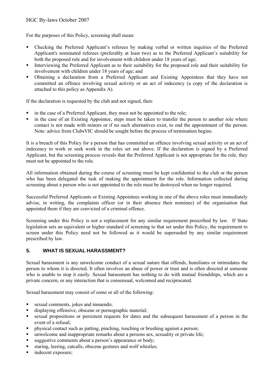For the purposes of this Policy, screening shall mean:

- Checking the Preferred Applicant's referees by making verbal or written inquiries of the Preferred Applicant's nominated referees (preferably at least two) as to the Preferred Applicant's suitability for both the proposed role and for involvement with children under 18 years of age;
- Interviewing the Preferred Applicant as to their suitability for the proposed role and their suitability for involvement with children under 18 years of age; and
- Obtaining a declaration from a Preferred Applicant and Existing Appointees that they have not committed an offence involving sexual activity or an act of indecency (a copy of the declaration is attached to this policy as Appendix A).

If the declaration is requested by the club and not signed, then:

- in the case of a Preferred Applicant, they must not be appointed to the role;
- in the case of an Existing Appointee, steps must be taken to transfer the person to another role where contact is not made with minors or if no such alternatives exist, to end the appointment of the person. Note: advice from ClubsVIC should be sought before the process of termination begins.

It is a breach of this Policy for a person that has committed an offence involving sexual activity or an act of indecency to work or seek work in the roles set out above. If the declaration is signed by a Preferred Applicant, but the screening process reveals that the Preferred Applicant is not appropriate for the role, they must not be appointed to the role.

All information obtained during the course of screening must be kept confidential to the club or the person who has been delegated the task of making the appointment for the role. Information collected during screening about a person who is not appointed to the role must be destroyed when no longer required.

Successful Preferred Applicants or Existing Appointees working in one of the above roles must immediately advise, in writing, the complaints officer (or in their absence their nominee) of the organisation that appointed them if they are convicted of a criminal offence.

Screening under this Policy is not a replacement for any similar requirement prescribed by law. If State legislation sets an equivalent or higher standard of screening to that set under this Policy, the requirement to screen under this Policy need not be followed as it would be superseded by any similar requirement prescribed by law.

# **5. WHAT IS SEXUAL HARASSMENT?**

Sexual harassment is any unwelcome conduct of a sexual nature that offends, humiliates or intimidates the person to whom it is directed. It often involves an abuse of power or trust and is often directed at someone who is unable to stop it easily. Sexual harassment has nothing to do with mutual friendships, which are a private concern, or any interaction that is consensual, welcomed and reciprocated.

Sexual harassment may consist of some or all of the following:

- sexual comments, jokes and innuendo;
- displaying offensive, obscene or pornographic material;
- sexual propositions or persistent requests for dates and the subsequent harassment of a person in the event of a refusal;
- physical contact such as patting, pinching, touching or brushing against a person;
- unwelcome and inappropriate remarks about a persons sex, sexuality or private life;
- Examples 1 suggestive comments about a person's appearance or body;
- staring, leering, catcalls, obscene gestures and wolf whistles;
- indecent exposure;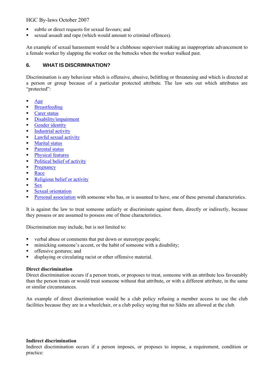- subtle or direct requests for sexual favours; and
- sexual assault and rape (which would amount to criminal offences).

An example of sexual harassment would be a clubhouse supervisor making an inappropriate advancement to a female worker by slapping the worker on the buttocks when the worker walked past.

# **6. WHAT IS DISCRIMINATION?**

Discrimination is any behaviour which is offensive, abusive, belittling or threatening and which is directed at a person or group because of a particular protected attribute. The law sets out which attributes are "protected":

- [Age](http://www.standuptoracism.com.au/?nc=3535&id=91)
- **■** [Breastfeeding](http://www.standuptoracism.com.au/?nc=3535&id=92)
- [Carer status](http://www.standuptoracism.com.au/?nc=3535&id=93)
- **•** [Disability/impairment](http://www.standuptoracism.com.au/?nc=3535&id=94)
- **■** [Gender identity](http://www.standuptoracism.com.au/?nc=3535&id=95)
- **•** [Industrial activity](http://www.standuptoracism.com.au/?nc=3535&id=96)
- **•** [Lawful sexual activity](http://www.standuptoracism.com.au/?nc=3535&id=97)
- [Marital status](http://www.standuptoracism.com.au/?nc=3535&id=98)
- [Parental status](http://www.standuptoracism.com.au/?nc=3535&id=93)
- **•** [Physical features](http://www.standuptoracism.com.au/?nc=3535&id=99)
- [Political belief of activity](http://www.standuptoracism.com.au/?nc=3535&id=100)
- **[Pregnancy](http://www.standuptoracism.com.au/?nc=3535&id=92)**
- **[Race](http://www.standuptoracism.com.au/?nc=3535&id=101)**
- **[Religious belief or activity](http://www.standuptoracism.com.au/?nc=3535&id=102)**
- [Sex](http://www.standuptoracism.com.au/?nc=3535&id=103)
- [Sexual orientation](http://www.standuptoracism.com.au/?nc=3535&id=97)
- **[Personal association](http://www.standuptoracism.com.au/?nc=3535&id=104) with someone who has, or is assumed to have, one of these personal characteristics.**

It is against the law to treat someone unfairly or discriminate against them, directly or indirectly, because they possess or are assumed to possess one of these characteristics.

Discrimination may include, but is not limited to:

- verbal abuse or comments that put down or stereotype people;
- mimicking someone's accent, or the habit of someone with a disability;
- **•** offensive gestures; and
- displaying or circulating racist or other offensive material.

#### **Direct discrimination**

Direct discrimination occurs if a person treats, or proposes to treat, someone with an attribute less favourably than the person treats or would treat someone without that attribute, or with a different attribute, in the same or similar circumstances.

An example of direct discrimination would be a club policy refusing a member access to use the club facilities because they are in a wheelchair, or a club policy saying that no Sikhs are allowed at the club.

#### **Indirect discrimination**

Indirect discrimination occurs if a person imposes, or proposes to impose, a requirement, condition or practice: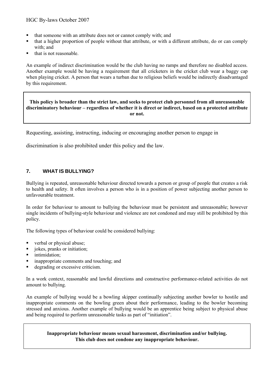- that someone with an attribute does not or cannot comply with; and
- that a higher proportion of people without that attribute, or with a different attribute, do or can comply with; and
- that is not reasonable.

An example of indirect discrimination would be the club having no ramps and therefore no disabled access. Another example would be having a requirement that all cricketers in the cricket club wear a baggy cap when playing cricket. A person that wears a turban due to religious beliefs would be indirectly disadvantaged by this requirement.

#### **This policy is broader than the strict law, and seeks to protect club personnel from all unreasonable discriminatory behaviour – regardless of whether it is direct or indirect, based on a protected attribute or not.**

Requesting, assisting, instructing, inducing or encouraging another person to engage in

discrimination is also prohibited under this policy and the law.

#### **7. WHAT IS BULLYING?**

Bullying is repeated, unreasonable behaviour directed towards a person or group of people that creates a risk to health and safety. It often involves a person who is in a position of power subjecting another person to unfavourable treatment.

In order for behaviour to amount to bullying the behaviour must be persistent and unreasonable; however single incidents of bullying-style behaviour and violence are not condoned and may still be prohibited by this policy.

The following types of behaviour could be considered bullying:

- verbal or physical abuse;
- jokes, pranks or initiation;
- **·** intimidation:
- **•** inappropriate comments and touching; and
- degrading or excessive criticism.

In a work context, reasonable and lawful directions and constructive performance-related activities do not amount to bullying.

An example of bullying would be a bowling skipper continually subjecting another bowler to hostile and inappropriate comments on the bowling green about their performance, leading to the bowler becoming stressed and anxious. Another example of bullying would be an apprentice being subject to physical abuse and being required to perform unreasonable tasks as part of "initiation".

#### **Inappropriate behaviour means sexual harassment, discrimination and/or bullying. This club does not condone any inappropriate behaviour.**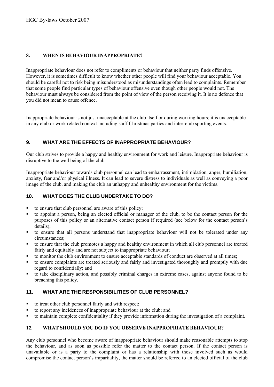#### **8. WHEN IS BEHAVIOUR INAPPROPRIATE?**

Inappropriate behaviour does not refer to compliments or behaviour that neither party finds offensive. However, it is sometimes difficult to know whether other people will find your behaviour acceptable. You should be careful not to risk being misunderstood as misunderstandings often lead to complaints. Remember that some people find particular types of behaviour offensive even though other people would not. The behaviour must always be considered from the point of view of the person receiving it. It is no defence that you did not mean to cause offence.

Inappropriate behaviour is not just unacceptable at the club itself or during working hours; it is unacceptable in any club or work related context including staff Christmas parties and inter-club sporting events.

# **9. WHAT ARE THE EFFECTS OF INAPPROPRIATE BEHAVIOUR?**

Our club strives to provide a happy and healthy environment for work and leisure. Inappropriate behaviour is disruptive to the well being of the club.

Inappropriate behaviour towards club personnel can lead to embarrassment, intimidation, anger, humiliation, anxiety, fear and/or physical illness. It can lead to severe distress to individuals as well as conveying a poor image of the club, and making the club an unhappy and unhealthy environment for the victims.

# **10. WHAT DOES THE CLUB UNDERTAKE TO DO?**

- to ensure that club personnel are aware of this policy;
- to appoint a person, being an elected official or manager of the club, to be the contact person for the purposes of this policy or an alternative contact person if required (see below for the contact person's details);
- to ensure that all persons understand that inappropriate behaviour will not be tolerated under any circumstances;
- to ensure that the club promotes a happy and healthy environment in which all club personnel are treated fairly and equitably and are not subject to inappropriate behaviour;
- to monitor the club environment to ensure acceptable standards of conduct are observed at all times;
- to ensure complaints are treated seriously and fairly and investigated thoroughly and promptly with due regard to confidentially; and
- to take disciplinary action, and possibly criminal charges in extreme cases, against anyone found to be breaching this policy.

# **11. WHAT ARE THE RESPONSIBILITIES OF CLUB PERSONNEL?**

- to treat other club personnel fairly and with respect;
- to report any incidences of inappropriate behaviour at the club; and
- to maintain complete confidentiality if they provide information during the investigation of a complaint.

# **12. WHAT SHOULD YOU DO IF YOU OBSERVE INAPPROPRIATE BEHAVIOUR?**

Any club personnel who become aware of inappropriate behaviour should make reasonable attempts to stop the behaviour, and as soon as possible refer the matter to the contact person. If the contact person is unavailable or is a party to the complaint or has a relationship with those involved such as would compromise the contact person's impartiality, the matter should be referred to an elected official of the club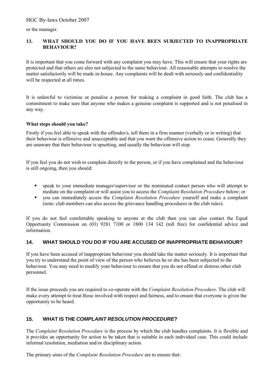or the manager.

#### **13. WHAT SHOULD YOU DO IF YOU HAVE BEEN SUBJECTED TO INAPPROPRIATE BEHAVIOUR?**

It is important that you come forward with any complaint you may have. This will ensure that your rights are protected and that others are also not subjected to the same behaviour. All reasonable attempts to resolve the matter satisfactorily will be made in-house. Any complaints will be dealt with seriously and confidentiality will be respected at all times.

It is unlawful to victimise or penalise a person for making a complaint in good faith. The club has a commitment to make sure that anyone who makes a genuine complaint is supported and is not penalised in any way.

#### **What steps should you take?**

Firstly if you feel able to speak with the offender/s, tell them in a firm manner (verbally or in writing) that their behaviour is offensive and unacceptable and that you want the offensive action to cease. Generally they are unaware that their behaviour is upsetting, and usually the behaviour will stop.

If you feel you do not wish to complain directly to the person, or if you have complained and the behaviour is still ongoing, then you should:

- **•** speak to your immediate manager/supervisor or the nominated contact person who will attempt to mediate on the complaint or will assist you to access the *Complaint Resolution Procedure* below; or
- you can immediately access the *Complaint Resolution Procedure* yourself and make a complaint (note: club members can also access the grievance handling procedures in the club rules).

If you do not feel comfortable speaking to anyone at the club then you can also contact the Equal Opportunity Commission on (03) 9281 7100 or 1800 134 142 (toll free) for confidential advice and information.

# **14. WHAT SHOULD YOU DO IF YOU ARE ACCUSED OF INAPPROPRIATE BEHAVIOUR?**

If you have been accused of inappropriate behaviour you should take the matter seriously. It is important that you try to understand the point of view of the person who believes he or she has been subjected to the behaviour. You may need to modify your behaviour to ensure that you do not offend or distress other club personnel.

If the issue proceeds you are required to co-operate with the *Complaint Resolution Procedure*. The club will make every attempt to treat those involved with respect and fairness, and to ensure that everyone is given the opportunity to be heard.

# **15. WHAT IS THE** *COMPLAINT RESOLUTION PROCEDURE***?**

The *Complaint Resolution Procedure* is the process by which the club handles complaints. It is flexible and it provides an opportunity for action to be taken that is suitable in each individual case. This could include informal resolution, mediation and/or disciplinary action.

The primary aims of the *Complaint Resolution Procedure* are to ensure that: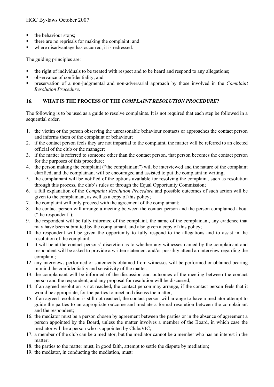- the behaviour stops;
- there are no reprisals for making the complaint; and
- where disadvantage has occurred, it is redressed.

The guiding principles are:

- the right of individuals to be treated with respect and to be heard and respond to any allegations;
- observance of confidentiality; and
- preservation of a non-judgmental and non-adversarial approach by those involved in the *Complaint Resolution Procedure*.

# **16. WHAT IS THE PROCESS OF THE** *COMPLAINT RESOLUTION PROCEDURE***?**

The following is to be used as a guide to resolve complaints. It is not required that each step be followed in a sequential order.

- 1. the victim or the person observing the unreasonable behaviour contacts or approaches the contact person and informs them of the complaint or behaviour;
- 2. if the contact person feels they are not impartial to the complaint, the matter will be referred to an elected official of the club or the manager;
- 3. if the matter is referred to someone other than the contact person, that person becomes the contact person for the purposes of this procedure;
- 4. the person making the complaint ("the complainant") will be interviewed and the nature of the complaint clarified, and the complainant will be encouraged and assisted to put the complaint in writing;
- 5. the complainant will be notified of the options available for resolving the complaint, such as resolution through this process, the club's rules or through the Equal Opportunity Commission;
- 6. a full explanation of the *Complaint Resolution Procedure* and possible outcomes of such action will be given to the complainant, as well as a copy of this policy;
- 7. the complaint will only proceed with the agreement of the complainant;
- 8. the contact person will arrange a meeting between the contact person and the person complained about ("the respondent");
- 9. the respondent will be fully informed of the complaint, the name of the complainant, any evidence that may have been submitted by the complainant, and also given a copy of this policy;
- 10. the respondent will be given the opportunity to fully respond to the allegations and to assist in the resolution of the complaint;
- 11. it will be at the contact persons' discretion as to whether any witnesses named by the complainant and respondent will be asked to provide a written statement and/or possibly attend an interview regarding the complaint;
- 12. any interviews performed or statements obtained from witnesses will be performed or obtained bearing in mind the confidentiality and sensitivity of the matter;
- 13. the complainant will be informed of the discussion and outcomes of the meeting between the contact person and the respondent, and any proposal for resolution will be discussed;
- 14. if an agreed resolution is not reached, the contact person may arrange, if the contact person feels that it would be appropriate, for the parties to meet and discuss the matter;
- 15. if an agreed resolution is still not reached, the contact person will arrange to have a mediator attempt to guide the parties to an appropriate outcome and mediate a formal resolution between the complainant and the respondent;
- 16. the mediator must be a person chosen by agreement between the parties or in the absence of agreement a person appointed by the Board, unless the matter involves a member of the Board, in which case the mediator will be a person who is appointed by ClubsVIC;
- 17. a member of the club can be a mediator, but the mediator cannot be a member who has an interest in the matter;
- 18. the parties to the matter must, in good faith, attempt to settle the dispute by mediation;
- 19. the mediator, in conducting the mediation, must: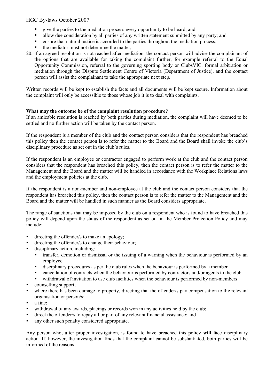- give the parties to the mediation process every opportunity to be heard; and
- In allow due consideration by all parties of any written statement submitted by any party; and
- ensure that natural justice is accorded to the parties throughout the mediation process;
- the mediator must not determine the matter;
- 20. if an agreed resolution is not reached after mediation, the contact person will advise the complainant of the options that are available for taking the complaint further, for example referral to the Equal Opportunity Commission, referral to the governing sporting body or ClubsVIC, formal arbitration or mediation through the Dispute Settlement Centre of Victoria (Department of Justice), and the contact person will assist the complainant to take the appropriate next step.

Written records will be kept to establish the facts and all documents will be kept secure. Information about the complaint will only be accessible to those whose job it is to deal with complaints.

#### **What may the outcome be of the complaint resolution procedure?**

If an amicable resolution is reached by both parties during mediation, the complaint will have deemed to be settled and no further action will be taken by the contact person.

If the respondent is a member of the club and the contact person considers that the respondent has breached this policy then the contact person is to refer the matter to the Board and the Board shall invoke the club's disciplinary procedure as set out in the club's rules.

If the respondent is an employee or contractor engaged to perform work at the club and the contact person considers that the respondent has breached this policy, then the contact person is to refer the matter to the Management and the Board and the matter will be handled in accordance with the Workplace Relations laws and the employment policies at the club.

If the respondent is a non-member and non-employee at the club and the contact person considers that the respondent has breached this policy, then the contact person is to refer the matter to the Management and the Board and the matter will be handled in such manner as the Board considers appropriate.

The range of sanctions that may be imposed by the club on a respondent who is found to have breached this policy will depend upon the status of the respondent as set out in the Member Protection Policy and may include:

- directing the offender/s to make an apology;
- directing the offender/s to change their behaviour;
- disciplinary action, including:
	- transfer, demotion or dismissal or the issuing of a warning when the behaviour is performed by an employee
	- disciplinary procedures as per the club rules when the behaviour is performed by a member
	- cancellation of contracts when the behaviour is performed by contractors and/or agents to the club
	- withdrawal of invitation to use club facilities when the behaviour is performed by non-members
- counselling support;
- where there has been damage to property, directing that the offender/s pay compensation to the relevant organisation or person/s;
- a fine;
- withdrawal of any awards, placings or records won in any activities held by the club;
- direct the offender/s to repay all or part of any relevant financial assistance; and
- any other such penalty considered appropriate.

Any person who, after proper investigation, is found to have breached this policy **will** face disciplinary action. If, however, the investigation finds that the complaint cannot be substantiated, both parties will be informed of the reasons.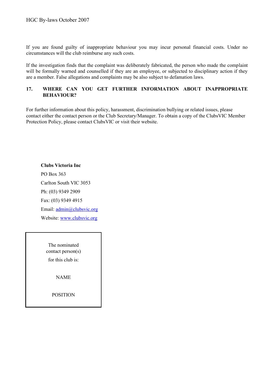If you are found guilty of inappropriate behaviour you may incur personal financial costs. Under no circumstances will the club reimburse any such costs.

If the investigation finds that the complaint was deliberately fabricated, the person who made the complaint will be formally warned and counselled if they are an employee, or subjected to disciplinary action if they are a member. False allegations and complaints may be also subject to defamation laws.

#### **17. WHERE CAN YOU GET FURTHER INFORMATION ABOUT INAPPROPRIATE BEHAVIOUR?**

For further information about this policy, harassment, discrimination bullying or related issues, please contact either the contact person or the Club Secretary/Manager. To obtain a copy of the ClubsVIC Member Protection Policy, please contact ClubsVIC or visit their website.

**Clubs Victoria Inc** PO Box 363 Carlton South VIC 3053 Ph: (03) 9349 2909 Fax: (03) 9349 4915 Email: [admin@clubsvic.org](mailto:admin@clubsvic.org) Website[: www.clubsvic.org](http://www.clubsvic.org/)

The nominated contact person(s) for this club is:

NAME

POSITION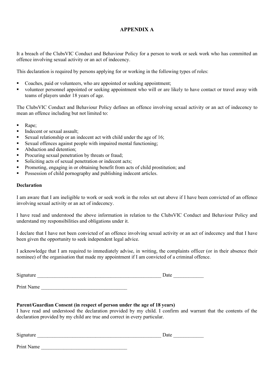## **APPENDIX A**

It a breach of the ClubsVIC Conduct and Behaviour Policy for a person to work or seek work who has committed an offence involving sexual activity or an act of indecency.

This declaration is required by persons applying for or working in the following types of roles:

- Coaches, paid or volunteers, who are appointed or seeking appointment;
- volunteer personnel appointed or seeking appointment who will or are likely to have contact or travel away with teams of players under 18 years of age.

The ClubsVIC Conduct and Behaviour Policy defines an offence involving sexual activity or an act of indecency to mean an offence including but not limited to:

- Rape;
- Indecent or sexual assault:
- Sexual relationship or an indecent act with child under the age of 16;
- Sexual offences against people with impaired mental functioning;
- Abduction and detention:
- Procuring sexual penetration by threats or fraud;
- Soliciting acts of sexual penetration or indecent acts;
- Promoting, engaging in or obtaining benefit from acts of child prostitution; and
- Possession of child pornography and publishing indecent articles.

#### **Declaration**

I am aware that I am ineligible to work or seek work in the roles set out above if I have been convicted of an offence involving sexual activity or an act of indecency.

I have read and understood the above information in relation to the ClubsVIC Conduct and Behaviour Policy and understand my responsibilities and obligations under it.

I declare that I have not been convicted of an offence involving sexual activity or an act of indecency and that I have been given the opportunity to seek independent legal advice.

I acknowledge that I am required to immediately advise, in writing, the complaints officer (or in their absence their nominee) of the organisation that made my appointment if I am convicted of a criminal offence.

Signature  $\Box$ 

Print Name

#### **Parent/Guardian Consent (in respect of person under the age of 18 years)**

I have read and understood the declaration provided by my child. I confirm and warrant that the contents of the declaration provided by my child are true and correct in every particular.

| $\sim \cdot$<br>S121<br>паште | aut va |
|-------------------------------|--------|
|                               |        |

Print Name \_\_\_\_\_\_\_\_\_\_\_\_\_\_\_\_\_\_\_\_\_\_\_\_\_\_\_\_\_\_\_\_\_\_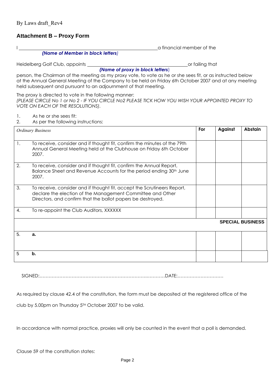# **Attachment B – Proxy Form**

I a financial member of the state of the state of the state of the state of the state of the state of the state of the state of the state of the state of the state of the state of the state of the state of the state of the

*(Name of Member in block letters)*

held subsequent and pursuant to an adjournment of that meeting.

Heidelberg Golf Club, appoints or failing that

*(Name of proxy in block letters*)

person, the Chairman of the meeting as my proxy vote, to vote as he or she sees fit, or as instructed below at the Annual General Meeting of the Company to be held on Friday 6th October 2007 and at any meeting

The proxy is directed to vote in the following manner:

*(PLEASE CIRCLE No 1 or No 2 - IF YOU CIRCLE No2 PLEASE TICK HOW YOU WISH YOUR APPOINTED PROXY TO VOTE ON EACH OF THE RESOLUTIONS).*

1. As he or she sees fit:

2. As per the following instructions:

|    | <b>Ordinary Business</b>                                                                                                                                                                             | For | <b>Against</b> | Abstain                 |
|----|------------------------------------------------------------------------------------------------------------------------------------------------------------------------------------------------------|-----|----------------|-------------------------|
| 1. | To receive, consider and if thought fit, confirm the minutes of the 79th<br>Annual General Meeting held at the Clubhouse on Friday 6th October<br>2007.                                              |     |                |                         |
| 2. | To receive, consider and if thought fit, confirm the Annual Report,<br>Balance Sheet and Revenue Accounts for the period ending 30 <sup>th</sup> June<br>2007.                                       |     |                |                         |
| 3. | To receive, consider and if thought fit, accept the Scrutineers Report,<br>declare the election of the Management Committee and Other<br>Directors, and confirm that the ballot papers be destroyed. |     |                |                         |
| 4. | To re-appoint the Club Auditors, XXXXXX                                                                                                                                                              |     |                |                         |
|    |                                                                                                                                                                                                      |     |                | <b>SPECIAL BUSINESS</b> |
| 5. | a.                                                                                                                                                                                                   |     |                |                         |
| 5  | b.                                                                                                                                                                                                   |     |                |                         |

SIGNED:…………………………………………………………….…………DATE:…………………………

As required by clause 42.4 of the constitution, the form must be deposited at the registered office of the

club by 5.00pm on Thursday 5TH October 2007 to be valid.

In accordance with normal practice, proxies will only be counted in the event that a poll is demanded.

Clause 59 of the constitution states: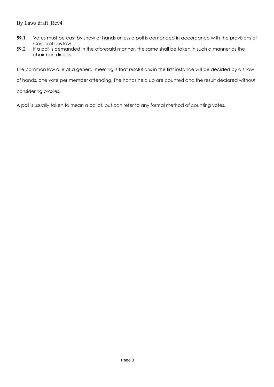# By Laws draft\_Rev4

- **59.1** Votes must be cast by show of hands unless a poll is demanded in accordance with the provisions of Corporations law.
- 59.2 If a poll is demanded in the aforesaid manner, the same shall be taken in such a manner as the chairman directs.

The common law rule at a general meeting is that resolutions in the first instance will be decided by a show

of hands, one vote per member attending. The hands held up are counted and the result declared without

considering proxies.

A poll is usually taken to mean a ballot, but can refer to any formal method of counting votes.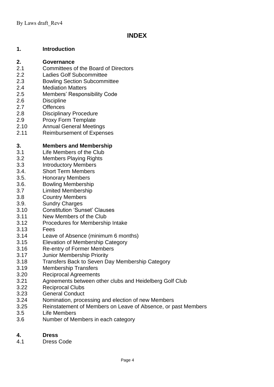# **INDEX**

# **1. Introduction**

# **2. Governance**

- 2.1 Committees of the Board of Directors
- 2.2 Ladies Golf Subcommittee
- 2.3 Bowling Section Subcommittee
- 2.4 Mediation Matters
- 2.5 Members' Responsibility Code
- 2.6 Discipline
- 2.7 Offences
- 2.8 Disciplinary Procedure
- 2.9 Proxy Form Template
- 2.10 Annual General Meetings
- 2.11 Reimbursement of Expenses

# **3. Members and Membership**

- 3.1 Life Members of the Club
- 3.2 Members Playing Rights
- 3.3 Introductory Members
- 3.4. Short Term Members
- 3.5. Honorary Members
- 3.6. Bowling Membership
- 3.7 Limited Membership
- 3.8 Country Members
- 3.9. Sundry Charges
- 3.10 Constitution 'Sunset' Clauses
- 3.11 New Members of the Club
- 3.12 Procedures for Membership Intake
- 3.13 Fees
- 3.14 Leave of Absence (minimum 6 months)
- 3.15 Elevation of Membership Category
- 3.16 Re-entry of Former Members
- 3.17 Junior Membership Priority
- 3.18 Transfers Back to Seven Day Membership Category
- 3.19 Membership Transfers
- 3.20 Reciprocal Agreements
- 3.21 Agreements between other clubs and Heidelberg Golf Club
- 3.22 Reciprocal Clubs
- 3.23 General Conduct
- 3.24 Nomination, processing and election of new Members
- 3.25 Reinstatement of Members on Leave of Absence, or past Members
- 3.5 Life Members
- 3.6 Number of Members in each category

# **4. Dress**

4.1 Dress Code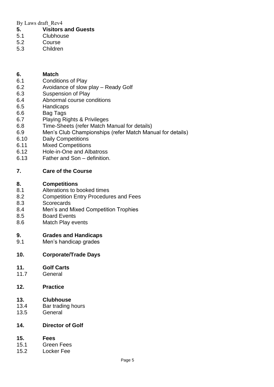By Laws draft\_Rev4

- **5. Visitors and Guests**
- 5.1 Clubhouse
- 5.2 Course
- 5.3 Children

# **6. Match**

- 6.1 Conditions of Play
- 6.2 Avoidance of slow play Ready Golf
- 6.3 Suspension of Play
- 6.4 Abnormal course conditions
- 6.5 Handicaps
- 6.6 Bag Tags
- 6.7 Playing Rights & Privileges
- 6.8 Time-Sheets (refer Match Manual for details)
- 6.9 Men's Club Championships (refer Match Manual for details)
- 6.10 Daily Competitions
- 6.11 Mixed Competitions
- 6.12 Hole-in-One and Albatross
- 6.13 Father and Son definition.

# **7. Care of the Course**

# **8. Competitions**

- 8.1 Alterations to booked times
- 8.2 Competition Entry Procedures and Fees
- 8.3 Scorecards
- 8.4 Men's and Mixed Competition Trophies
- 8.5 Board Events
- 8.6 Match Play events

# **9. Grades and Handicaps**

9.1 Men's handicap grades

# **10. Corporate/Trade Days**

# **11. Golf Carts**

11.7 General

# **12. Practice**

# **13. Clubhouse**

- 13.4 Bar trading hours
- 13.5 General

# **14. Director of Golf**

# **15. Fees**

- 15.1 Green Fees
- 15.2 Locker Fee